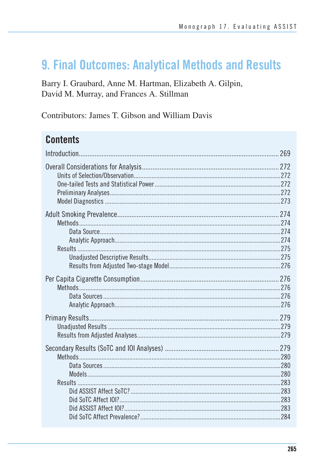# 9. Final Outcomes: Analytical Methods and Results

Barry I. Graubard, Anne M. Hartman, Elizabeth A. Gilpin, David M. Murray, and Frances A. Stillman

Contributors: James T. Gibson and William Davis

# **Contents**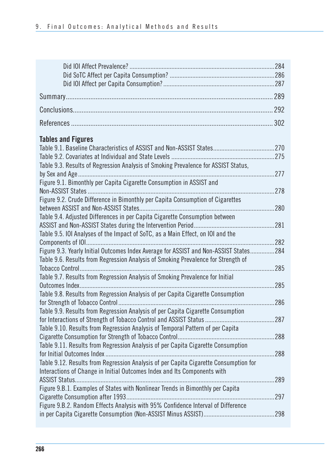| .302<br><b>Tables and Figures</b>                                                          |
|--------------------------------------------------------------------------------------------|
|                                                                                            |
|                                                                                            |
|                                                                                            |
|                                                                                            |
|                                                                                            |
|                                                                                            |
| .275                                                                                       |
| Table 9.3. Results of Regression Analysis of Smoking Prevalence for ASSIST Status,         |
|                                                                                            |
| Figure 9.1. Bimonthly per Capita Cigarette Consumption in ASSIST and<br>278                |
| Figure 9.2. Crude Difference in Bimonthly per Capita Consumption of Cigarettes             |
| 280                                                                                        |
| Table 9.4. Adjusted Differences in per Capita Cigarette Consumption between                |
| .281                                                                                       |
| Table 9.5. IOI Analyses of the Impact of SoTC, as a Main Effect, on IOI and the            |
| .282                                                                                       |
| Figure 9.3. Yearly Initial Outcomes Index Average for ASSIST and Non-ASSIST States<br>.284 |
| Table 9.6. Results from Regression Analysis of Smoking Prevalence for Strength of          |
| .285                                                                                       |
| Table 9.7. Results from Regression Analysis of Smoking Prevalence for Initial              |
| 285<br>Table 9.8. Results from Regression Analysis of per Capita Cigarette Consumption     |
| 286                                                                                        |
| Table 9.9. Results from Regression Analysis of per Capita Cigarette Consumption            |
| .287                                                                                       |
| Table 9.10. Results from Regression Analysis of Temporal Pattern of per Capita             |
| 288                                                                                        |
| Table 9.11. Results from Regression Analysis of per Capita Cigarette Consumption           |
| 288                                                                                        |
| Table 9.12. Results from Regression Analysis of per Capita Cigarette Consumption for       |
| Interactions of Change in Initial Outcomes Index and Its Components with                   |
| 289                                                                                        |
| Figure 9.B.1. Examples of States with Nonlinear Trends in Bimonthly per Capita<br>297      |
| Figure 9.B.2. Random Effects Analysis with 95% Confidence Interval of Difference           |
| 298                                                                                        |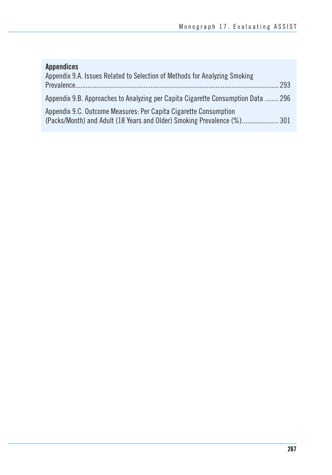# **Appendices**

| Appendix 9.A. Issues Related to Selection of Methods for Analyzing Smoking       |     |
|----------------------------------------------------------------------------------|-----|
|                                                                                  | 293 |
| Appendix 9.B. Approaches to Analyzing per Capita Cigarette Consumption Data  296 |     |
| Appendix 9.C. Outcome Measures: Per Capita Cigarette Consumption                 |     |
| (Packs/Month) and Adult (18 Years and Older) Smoking Prevalence (%) 301          |     |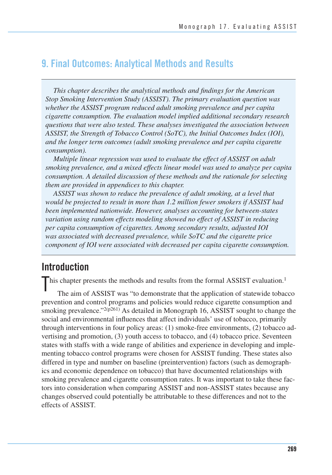# **9. Final Outcomes: Analytical Methods and Results**

*This chapter describes the analytical methods and findings for the American Stop Smoking Intervention Study (ASSIST). The primary evaluation question was whether the ASSIST program reduced adult smoking prevalence and per capita cigarette consumption. The evaluation model implied additional secondary research questions that were also tested. These analyses investigated the association between ASSIST, the Strength of Tobacco Control (SoTC), the Initial Outcomes Index (IOI), and the longer term outcomes (adult smoking prevalence and per capita cigarette consumption).* 

*Multiple linear regression was used to evaluate the effect of ASSIST on adult smoking prevalence, and a mixed effects linear model was used to analyze per capita consumption. A detailed discussion of these methods and the rationale for selecting them are provided in appendices to this chapter.* 

*ASSIST was shown to reduce the prevalence of adult smoking, at a level that would be projected to result in more than 1.2 million fewer smokers if ASSIST had been implemented nationwide. However, analyses accounting for between-states variation using random effects modeling showed no effect of ASSIST in reducing per capita consumption of cigarettes. Among secondary results, adjusted IOI was associated with decreased prevalence, while SoTC and the cigarette price component of IOI were associated with decreased per capita cigarette consumption.* 

# **Introduction**

This chapter presents the methods and results from the formal ASSIST evaluation.<sup>1</sup><br>The aim of ASSIST was "to demonstrate that the application of statewide tobac

The aim of ASSIST was "to demonstrate that the application of statewide tobacco prevention and control programs and policies would reduce cigarette consumption and smoking prevalence." $2(p^{261})$  As detailed in Monograph 16, ASSIST sought to change the social and environmental influences that affect individuals' use of tobacco, primarily through interventions in four policy areas: (1) smoke-free environments, (2) tobacco advertising and promotion, (3) youth access to tobacco, and (4) tobacco price. Seventeen states with staffs with a wide range of abilities and experience in developing and implementing tobacco control programs were chosen for ASSIST funding. These states also differed in type and number on baseline (preintervention) factors (such as demographics and economic dependence on tobacco) that have documented relationships with smoking prevalence and cigarette consumption rates. It was important to take these factors into consideration when comparing ASSIST and non-ASSIST states because any changes observed could potentially be attributable to these differences and not to the effects of ASSIST.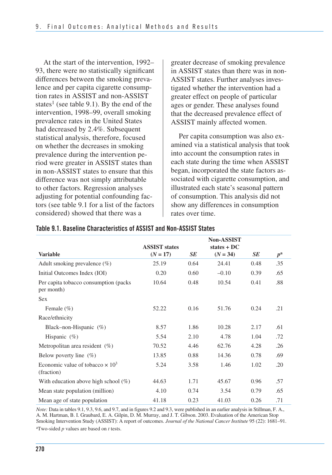At the start of the intervention, 1992– 93, there were no statistically significant differences between the smoking preva- lence and per capita cigarette consump- tion rates in ASSIST and non-ASSIST states<sup>1</sup> (see table 9.1). By the end of the intervention, 1998–99, overall smoking prevalence rates in the United States had decreased by 2.4%. Subsequent statistical analysis, therefore, focused on whether the decreases in smoking prevalence during the intervention pe- riod were greater in ASSIST states than in non-ASSIST states to ensure that this difference was not simply attributable to other factors. Regression analyses adjusting for potential confounding fac- tors (see table 9.1 for a list of the factors considered) showed that there was a

greater decrease of smoking prevalence in ASSIST states than there was in non-ASSIST states. Further analyses investigated whether the intervention had a greater effect on people of particular ages or gender. These analyses found that the decreased prevalence effect of ASSIST mainly affected women.

Per capita consumption was also examined via a statistical analysis that took into account the consumption rates in each state during the time when ASSIST began, incorporated the state factors associated with cigarette consumption, and illustrated each state's seasonal pattern of consumption. This analysis did not show any differences in consumption rates over time.

|                                                       | <b>ASSIST states</b> |           | <b>Non-ASSIST</b><br>states $+DC$ |      |             |
|-------------------------------------------------------|----------------------|-----------|-----------------------------------|------|-------------|
| <b>Variable</b>                                       | $(N = 17)$           | <b>SE</b> | $(N = 34)$                        | SE   | $p^{\rm a}$ |
| Adult smoking prevalence $(\%)$                       | 25.19                | 0.64      | 24.41                             | 0.48 | .35         |
| Initial Outcomes Index (IOI)                          | 0.20                 | 0.60      | $-0.10$                           | 0.39 | .65         |
| Per capita tobacco consumption (packs)<br>per month)  | 10.64                | 0.48      | 10.54                             | 0.41 | .88         |
| <b>Sex</b>                                            |                      |           |                                   |      |             |
| Female $(\% )$                                        | 52.22                | 0.16      | 51.76                             | 0.24 | .21         |
| Race/ethnicity                                        |                      |           |                                   |      |             |
| Black-non-Hispanic $(\%)$                             | 8.57                 | 1.86      | 10.28                             | 2.17 | .61         |
| Hispanic $(\% )$                                      | 5.54                 | 2.10      | 4.78                              | 1.04 | .72         |
| Metropolitan area resident $(\%)$                     | 70.52                | 4.46      | 62.76                             | 4.28 | .26         |
| Below poverty line $(\%)$                             | 13.85                | 0.88      | 14.36                             | 0.78 | .69         |
| Economic value of tobacco $\times 10^3$<br>(fraction) | 5.24                 | 3.58      | 1.46                              | 1.02 | .20         |
| With education above high school $(\%)$               | 44.63                | 1.71      | 45.67                             | 0.96 | .57         |
| Mean state population (million)                       | 4.10                 | 0.74      | 3.54                              | 0.79 | .65         |
| Mean age of state population                          | 41.18                | 0.23      | 41.03                             | 0.26 | .71         |

#### **Table 9.1. Baseline Characteristics of ASSIST and Non-ASSIST States**

 *Note:* Data in tables 9.1, 9.3, 9.6, and 9.7, and in figures 9.2 and 9.3, were published in an earlier analysis in Stillman, F. A., A. M. Hartman, B. I. Graubard, E. A. Gilpin, D. M. Murray, and J. T. Gibson. 2003. Evaluation of the American Stop Smoking Intervention Study (ASSIST): A report of outcomes. *Journal of the National Cancer Institute* 95 (22): 1681–91. aTwo-sided *p* values are based on *t* tests.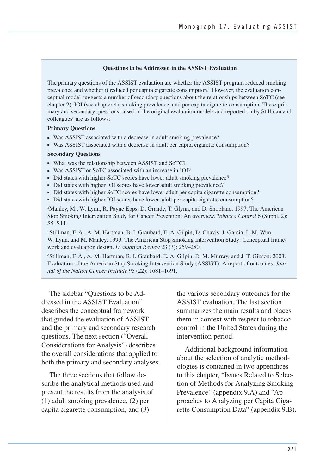#### **Questions to be Addressed in the ASSIST Evaluation**

The primary questions of the ASSIST evaluation are whether the ASSIST program reduced smoking prevalence and whether it reduced per capita cigarette consumption.<sup>a</sup> However, the evaluation conceptual model suggests a number of secondary questions about the relationships between SoTC (see chapter 2), IOI (see chapter 4), smoking prevalence, and per capita cigarette consumption. These primary and secondary questions raised in the original evaluation model<sup>b</sup> and reported on by Stillman and colleagues<sup>c</sup> are as follows:

#### **Primary Questions**

- Was ASSIST associated with a decrease in adult smoking prevalence?
- Was ASSIST associated with a decrease in adult per capita cigarette consumption?

#### **Secondary Questions**

- What was the relationship between ASSIST and SoTC?
- Was ASSIST or SoTC associated with an increase in IOI?
- Did states with higher SoTC scores have lower adult smoking prevalence?
- Did states with higher IOI scores have lower adult smoking prevalence?
- Did states with higher SoTC scores have lower adult per capita cigarette consumption?
- Did states with higher IOI scores have lower adult per capita cigarette consumption?

aManley, M., W. Lynn, R. Payne Epps, D. Grande, T. Glynn, and D. Shopland. 1997. The American Stop Smoking Intervention Study for Cancer Prevention: An overview. *Tobacco Control* 6 (Suppl. 2): S5–S11.

bStillman, F. A., A. M. Hartman, B. I. Graubard, E. A. Gilpin, D. Chavis, J. Garcia, L-M. Wun, W. Lynn, and M. Manley. 1999. The American Stop Smoking Intervention Study: Conceptual framework and evaluation design. *Evaluation Review* 23 (3): 259–280.

cStillman, F. A., A. M. Hartman, B. I. Graubard, E. A. Gilpin, D. M. Murray, and J. T. Gibson. 2003. Evaluation of the American Stop Smoking Intervention Study (ASSIST): A report of outcomes. *Journal of the Nation Cancer Institute* 95 (22): 1681–1691.

 The sidebar "Questions to be Ad- dressed in the ASSIST Evaluation" describes the conceptual framework that guided the evaluation of ASSIST and the primary and secondary research questions. The next section ("Overall Considerations for Analysis") describes the overall considerations that applied to both the primary and secondary analyses.

The three sections that follow describe the analytical methods used and present the results from the analysis of (1) adult smoking prevalence, (2) per capita cigarette consumption, and (3)

the various secondary outcomes for the ASSIST evaluation. The last section summarizes the main results and places them in context with respect to tobacco control in the United States during the intervention period.

Additional background information about the selection of analytic methodologies is contained in two appendices to this chapter, "Issues Related to Selection of Methods for Analyzing Smoking Prevalence" (appendix 9.A) and "Approaches to Analyzing per Capita Cigarette Consumption Data" (appendix 9.B).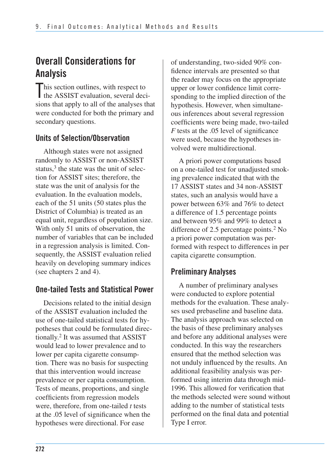# **Overall Considerations for Analysis**

This section outlines, with respect to<br>the ASSIST evaluation, several deci I the ASSIST evaluation, several decisions that apply to all of the analyses that were conducted for both the primary and secondary questions.

## **Units of Selection/Observation**

Although states were not assigned randomly to ASSIST or non-ASSIST status, $3$  the state was the unit of selection for ASSIST sites; therefore, the state was the unit of analysis for the evaluation. In the evaluation models, each of the 51 units (50 states plus the District of Columbia) is treated as an equal unit, regardless of population size. With only 51 units of observation, the number of variables that can be included in a regression analysis is limited. Consequently, the ASSIST evaluation relied heavily on developing summary indices (see chapters 2 and 4).

## **One-tailed Tests and Statistical Power**

Decisions related to the initial design of the ASSIST evaluation included the use of one-tailed statistical tests for hypotheses that could be formulated directionally.2 It was assumed that ASSIST would lead to lower prevalence and to lower per capita cigarette consumption. There was no basis for suspecting that this intervention would increase prevalence or per capita consumption. Tests of means, proportions, and single coefficients from regression models were, therefore, from one-tailed *t* tests at the .05 level of significance when the hypotheses were directional. For ease

of understanding, two-sided 90% confidence intervals are presented so that the reader may focus on the appropriate upper or lower confidence limit corresponding to the implied direction of the hypothesis. However, when simultaneous inferences about several regression coefficients were being made, two-tailed *F* tests at the .05 level of significance were used, because the hypotheses involved were multidirectional.

A priori power computations based on a one-tailed test for unadjusted smoking prevalence indicated that with the 17 ASSIST states and 34 non-ASSIST states, such an analysis would have a power between 63% and 76% to detect a difference of 1.5 percentage points and between 95% and 99% to detect a difference of 2.5 percentage points.<sup>2</sup> No a priori power computation was performed with respect to differences in per capita cigarette consumption.

## **Preliminary Analyses**

A number of preliminary analyses were conducted to explore potential methods for the evaluation. These analyses used prebaseline and baseline data. The analysis approach was selected on the basis of these preliminary analyses and before any additional analyses were conducted. In this way the researchers ensured that the method selection was not unduly influenced by the results. An additional feasibility analysis was performed using interim data through mid-1996. This allowed for verification that the methods selected were sound without adding to the number of statistical tests performed on the final data and potential Type I error.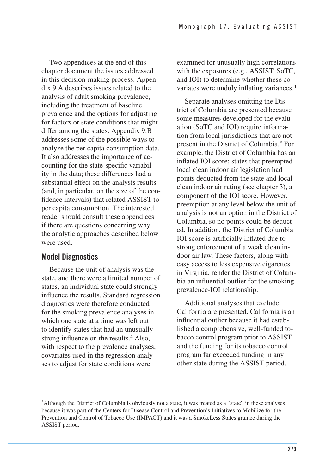Two appendices at the end of this chapter document the issues addressed in this decision-making process. Appendix 9.A describes issues related to the analysis of adult smoking prevalence, including the treatment of baseline prevalence and the options for adjusting for factors or state conditions that might differ among the states. Appendix 9.B addresses some of the possible ways to analyze the per capita consumption data. It also addresses the importance of accounting for the state-specific variability in the data; these differences had a substantial effect on the analysis results (and, in particular, on the size of the confidence intervals) that related ASSIST to per capita consumption. The interested reader should consult these appendices if there are questions concerning why the analytic approaches described below were used.

## **Model Diagnostics**

Because the unit of analysis was the state, and there were a limited number of states, an individual state could strongly influence the results. Standard regression diagnostics were therefore conducted for the smoking prevalence analyses in which one state at a time was left out to identify states that had an unusually strong influence on the results.<sup>4</sup> Also, with respect to the prevalence analyses, covariates used in the regression analyses to adjust for state conditions were

examined for unusually high correlations with the exposures (e.g., ASSIST, SoTC, and IOI) to determine whether these covariates were unduly inflating variances.4

Separate analyses omitting the District of Columbia are presented because some measures developed for the evaluation (SoTC and IOI) require information from local jurisdictions that are not present in the District of Columbia. For example, the District of Columbia has an inflated IOI score; states that preempted local clean indoor air legislation had points deducted from the state and local clean indoor air rating (see chapter 3), a component of the IOI score. However, preemption at any level below the unit of analysis is not an option in the District of Columbia, so no points could be deducted. In addition, the District of Columbia IOI score is artificially inflated due to strong enforcement of a weak clean indoor air law. These factors, along with easy access to less expensive cigarettes in Virginia, render the District of Columbia an influential outlier for the smoking prevalence-IOI relationship.

Additional analyses that exclude California are presented. California is an influential outlier because it had established a comprehensive, well-funded tobacco control program prior to ASSIST and the funding for its tobacco control program far exceeded funding in any other state during the ASSIST period.

Although the District of Columbia is obviously not a state, it was treated as a "state" in these analyses because it was part of the Centers for Disease Control and Prevention's Initiatives to Mobilize for the Prevention and Control of Tobacco Use (IMPACT) and it was a SmokeLess States grantee during the ASSIST period.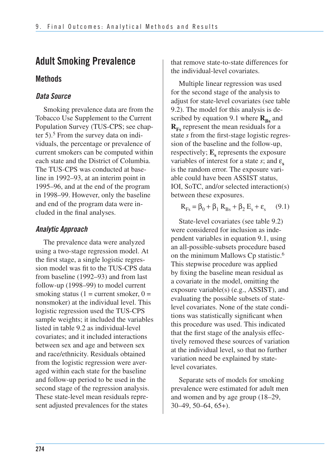# **Adult Smoking Prevalence**

#### **Methods**

#### *Data Source*

Smoking prevalence data are from the Tobacco Use Supplement to the Current Population Survey (TUS-CPS; see chapter  $5$ ).<sup>5</sup> From the survey data on individuals, the percentage or prevalence of current smokers can be computed within each state and the District of Columbia. The TUS-CPS was conducted at baseline in 1992–93, at an interim point in 1995–96, and at the end of the program in 1998–99. However, only the baseline and end of the program data were included in the final analyses.

### *Analytic Approach*

The prevalence data were analyzed using a two-stage regression model. At the first stage, a single logistic regression model was fit to the TUS-CPS data from baseline (1992–93) and from last follow-up (1998–99) to model current smoking status (1 = current smoker,  $0 =$ nonsmoker) at the individual level. This logistic regression used the TUS-CPS sample weights; it included the variables listed in table 9.2 as individual-level covariates; and it included interactions between sex and age and between sex and race/ethnicity. Residuals obtained from the logistic regression were averaged within each state for the baseline and follow-up period to be used in the second stage of the regression analysis. These state-level mean residuals represent adjusted prevalences for the states

that remove state-to-state differences for the individual-level covariates.

Multiple linear regression was used for the second stage of the analysis to adjust for state-level covariates (see table 9.2). The model for this analysis is described by equation 9.1 where  $\mathbf{R}_{\text{Bs}}$  and  $\mathbf{R}_{\text{Fs}}$  represent the mean residuals for a state *s* from the first-stage logistic regression of the baseline and the follow-up, respectively;  $\mathbf{E}_s$  represents the exposure variables of interest for a state  $s$ ; and  $\varepsilon$ <sub>s</sub> is the random error. The exposure variable could have been ASSIST status, IOI, SoTC, and/or selected interaction(s) between these exposures.

$$
\mathbf{R}_{\text{Fs}} = \beta_0 + \beta_1 \mathbf{R}_{\text{Bs}} + \beta_2 \mathbf{E}_\text{s} + \varepsilon_\text{s} \qquad (9.1)
$$

State-level covariates (see table 9.2) were considered for inclusion as independent variables in equation 9.1, using an all-possible-subsets procedure based on the minimum Mallows Cp statistic.<sup>6</sup> This stepwise procedure was applied by fixing the baseline mean residual as a covariate in the model, omitting the exposure variable(s) (e.g., ASSIST), and evaluating the possible subsets of statelevel covariates. None of the state conditions was statistically significant when this procedure was used. This indicated that the first stage of the analysis effectively removed these sources of variation at the individual level, so that no further variation need be explained by statelevel covariates.

Separate sets of models for smoking prevalence were estimated for adult men and women and by age group (18–29, 30–49, 50–64, 65+).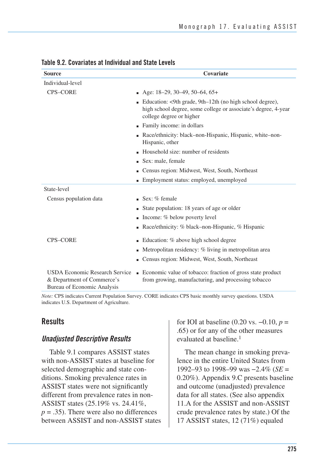| <b>Source</b>                                                                                             | Covariate                                                                                                                                                |
|-----------------------------------------------------------------------------------------------------------|----------------------------------------------------------------------------------------------------------------------------------------------------------|
| Individual-level                                                                                          |                                                                                                                                                          |
| <b>CPS-CORE</b>                                                                                           | $\blacksquare$ Age: 18–29, 30–49, 50–64, 65+                                                                                                             |
|                                                                                                           | ■ Education: <9th grade, 9th–12th (no high school degree),<br>high school degree, some college or associate's degree, 4-year<br>college degree or higher |
|                                                                                                           | • Family income: in dollars                                                                                                                              |
|                                                                                                           | • Race/ethnicity: black–non-Hispanic, Hispanic, white–non-<br>Hispanic, other                                                                            |
|                                                                                                           | Household size: number of residents                                                                                                                      |
|                                                                                                           | Sex: male, female                                                                                                                                        |
|                                                                                                           | • Census region: Midwest, West, South, Northeast                                                                                                         |
|                                                                                                           | • Employment status: employed, unemployed                                                                                                                |
| State-level                                                                                               |                                                                                                                                                          |
| Census population data                                                                                    | $\blacksquare$ Sex: % female                                                                                                                             |
|                                                                                                           | • State population: 18 years of age or older                                                                                                             |
|                                                                                                           | $\blacksquare$ Income: % below poverty level                                                                                                             |
|                                                                                                           | • Race/ethnicity: $%$ black–non-Hispanic, $%$ Hispanic                                                                                                   |
| <b>CPS-CORE</b>                                                                                           | • Education: % above high school degree                                                                                                                  |
|                                                                                                           | $\blacksquare$ Metropolitan residency: % living in metropolitan area                                                                                     |
|                                                                                                           | • Census region: Midwest, West, South, Northeast                                                                                                         |
| <b>USDA Economic Research Service</b><br>& Department of Commerce's<br><b>Bureau of Economic Analysis</b> | • Economic value of tobacco: fraction of gross state product<br>from growing, manufacturing, and processing tobacco                                      |

#### **Table 9.2. Covariates at Individual and State Levels**

*Note:* CPS indicates Current Population Survey. CORE indicates CPS basic monthly survey questions. USDA indicates U.S. Department of Agriculture.

## **Results**

#### *Unadjusted Descriptive Results*

Table 9.1 compares ASSIST states with non-ASSIST states at baseline for selected demographic and state conditions. Smoking prevalence rates in ASSIST states were not significantly different from prevalence rates in non-ASSIST states (25.19% vs. 24.41%,  $p = .35$ ). There were also no differences between ASSIST and non-ASSIST states for IOI at baseline (0.20 vs. −0.10, *p* = .65) or for any of the other measures evaluated at baseline.<sup>1</sup>

The mean change in smoking prevalence in the entire United States from 1992–93 to 1998–99 was −2.4% (*SE* = 0.20%). Appendix 9.C presents baseline and outcome (unadjusted) prevalence data for all states. (See also appendix 11.A for the ASSIST and non-ASSIST crude prevalence rates by state.) Of the 17 ASSIST states, 12 (71%) equaled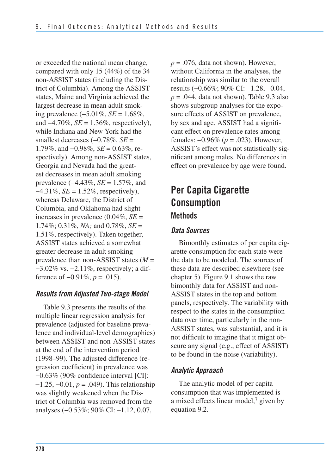or exceeded the national mean change, compared with only 15 (44%) of the 34 non-ASSIST states (including the District of Columbia). Among the ASSIST states, Maine and Virginia achieved the largest decrease in mean adult smoking prevalence (−5.01%, *SE* = 1.68%, and −4.70%, *SE* = 1.36%, respectively), while Indiana and New York had the smallest decreases (−0.78%, *SE* = 1.79%, and −0.98%, *SE* = 0.63%, respectively). Among non-ASSIST states, Georgia and Nevada had the greatest decreases in mean adult smoking prevalence (−4.43%, *SE* = 1.57%, and −4.31%, *SE* = 1.52%, respectively), whereas Delaware, the District of Columbia, and Oklahoma had slight increases in prevalence (0.04%, *SE* = 1.74%; 0.31%, *NA;* and 0.78%, *SE* = 1.51%, respectively). Taken together, ASSIST states achieved a somewhat greater decrease in adult smoking prevalence than non-ASSIST states (*M* = −3.02% vs. −2.11%, respectively; a difference of −0.91%, *p* = .015).

## *Results from Adjusted Two-stage Model*

Table 9.3 presents the results of the multiple linear regression analysis for prevalence (adjusted for baseline prevalence and individual-level demographics) between ASSIST and non-ASSIST states at the end of the intervention period (1998–99). The adjusted difference (regression coefficient) in prevalence was −0.63% (90% confidence interval [CI]: −1.25, −0.01, *p* = .049). This relationship was slightly weakened when the District of Columbia was removed from the analyses (−0.53%; 90% CI: –1.12, 0.07,

 $p = .076$ , data not shown). However, without California in the analyses, the relationship was similar to the overall results (−0.66%; 90% CI: –1.28, –0.04,  $p = .044$ , data not shown). Table 9.3 also shows subgroup analyses for the exposure effects of ASSIST on prevalence, by sex and age. ASSIST had a significant effect on prevalence rates among females: −0.96% (*p* = .023). However, ASSIST's effect was not statistically significant among males. No differences in effect on prevalence by age were found.

# **Per Capita Cigarette Consumption Methods**

## *Data Sources*

Bimonthly estimates of per capita cigarette consumption for each state were the data to be modeled. The sources of these data are described elsewhere (see chapter 5). Figure 9.1 shows the raw bimonthly data for ASSIST and non-ASSIST states in the top and bottom panels, respectively. The variability with respect to the states in the consumption data over time, particularly in the non-ASSIST states, was substantial, and it is not difficult to imagine that it might obscure any signal (e.g., effect of ASSIST) to be found in the noise (variability).

## *Analytic Approach*

The analytic model of per capita consumption that was implemented is a mixed effects linear model,7 given by equation 9.2.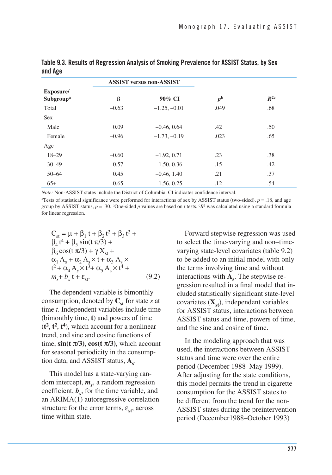|                                    |         | <b>ASSIST versus non-ASSIST</b> |             |          |
|------------------------------------|---------|---------------------------------|-------------|----------|
| Exposure/<br>Subgroup <sup>a</sup> | ß       | 90% CI                          | $p^{\rm b}$ | $R^{2c}$ |
| Total                              | $-0.63$ | $-1.25, -0.01$                  | .049        | .68      |
| <b>Sex</b>                         |         |                                 |             |          |
| Male                               | 0.09    | $-0.46, 0.64$                   | .42         | .50      |
| Female                             | $-0.96$ | $-1.73, -0.19$                  | .023        | .65      |
| Age                                |         |                                 |             |          |
| $18 - 29$                          | $-0.60$ | $-1.92, 0.71$                   | .23         | .38      |
| $30 - 49$                          | $-0.57$ | $-1.50, 0.36$                   | .15         | .42      |
| $50 - 64$                          | 0.45    | $-0.46, 1.40$                   | .21         | .37      |
| $65+$                              | $-0.65$ | $-1.56, 0.25$                   | .12         | .54      |

**Table 9.3. Results of Regression Analysis of Smoking Prevalence for ASSIST Status, by Sex and Age** 

*Note:* Non-ASSIST states include the District of Columbia. CI indicates confidence interval.

<sup>a</sup>Tests of statistical significance were performed for interactions of sex by ASSIST status (two-sided),  $p = .18$ , and age group by ASSIST status,  $p = .30$ . <sup>b</sup>One-sided *p* values are based on *t* tests.  $cR^2$  was calculated using a standard formula for linear regression.

$$
C_{st} = \mu + \beta_1 t + \beta_2 t^2 + \beta_3 t^2 + \n\beta_4 t^4 + \beta_5 \sin(t \pi/3) + \n\beta_6 \cos(t \pi/3) + \gamma X_{st} + \n\alpha_1 A_s + \alpha_2 A_s \times t + \alpha_3 A_s \times \nt^2 + \alpha_4 A_s \times t^3 + \alpha_5 A_s \times t^4 + \nm_s + b_s t + \varepsilon_{st}.
$$
\n(9.2)

 The dependent variable is bimonthly consumption, denoted by  $C_{st}$  for state *s* at time *t*. Independent variables include time (bimonthly time, **t**) and powers of time  $(t^2, t^2, t^4)$ , which account for a nonlinear trend, and sine and cosine functions of time,  $\sin(t \pi/3)$ ,  $\cos(t \pi/3)$ , which account for seasonal periodicity in the consumption data, and ASSIST status,  $A_s$ .

This model has a state-varying random intercept,  $m<sub>s</sub>$ , a random regression coefficient,  $\mathbf{b}_s$ , for the time variable, and an ARIMA(1) autoregressive correlation structure for the error terms,  $\varepsilon_{st}$ , across time within state.

Forward stepwise regression was used to select the time-varying and non–timevarying state-level covariates (table 9.2) to be added to an initial model with only the terms involving time and without interactions with  $A_{\rm s}$ . The stepwise regression resulted in a final model that included statistically significant state-level covariates  $(\mathbf{X}_{st})$ , independent variables for ASSIST status, interactions between ASSIST status and time, powers of time, and the sine and cosine of time.

In the modeling approach that was used, the interactions between ASSIST status and time were over the entire period (December 1988–May 1999). After adjusting for the state conditions, this model permits the trend in cigarette consumption for the ASSIST states to be different from the trend for the non-ASSIST states during the preintervention period (December1988–October 1993)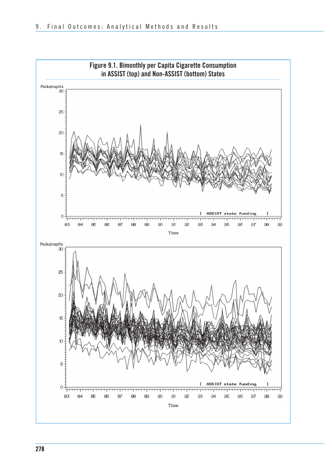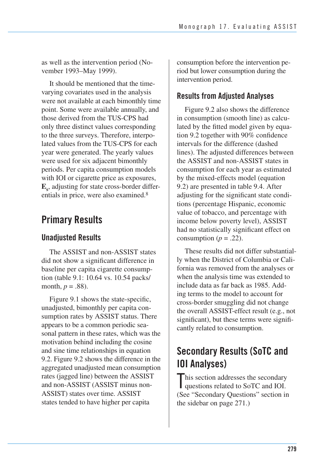as well as the intervention period (November 1993–May 1999).

 It should be mentioned that the time- varying covariates used in the analysis were not available at each bimonthly time point. Some were available annually, and those derived from the TUS-CPS had only three distinct values corresponding to the three surveys. Therefore, interpo- lated values from the TUS-CPS for each year were generated. The yearly values were used for six adjacent bimonthly periods. Per capita consumption models with IOI or cigarette price as exposures, **E** , adjusting for state cross-border differ **<sup>s</sup>** entials in price, were also examined.<sup>8</sup>

# **Primary Results**

## **Unadjusted Results**

The ASSIST and non-ASSIST states did not show a significant difference in baseline per capita cigarette consumption (table 9.1: 10.64 vs. 10.54 packs/ month,  $p = .88$ ).

 appears to be a common periodic sea- sonal pattern in these rates, which was the motivation behind including the cosine and sine time relationships in equation 9.2. Figure 9.2 shows the difference in the aggregated unadjusted mean consumption rates (jagged line) between the ASSIST and non-ASSIST (ASSIST minus non- ASSIST) states over time. ASSIST states tended to have higher per capita Figure 9.1 shows the state-specific, unadjusted, bimonthly per capita consumption rates by ASSIST status. There

consumption before the intervention pe- riod but lower consumption during the intervention period.

## **Results from Adjusted Analyses**

Figure 9.2 also shows the difference in consumption (smooth line) as calculated by the fitted model given by equation 9.2 together with 90% confidence intervals for the difference (dashed lines). The adjusted differences between the ASSIST and non-ASSIST states in consumption for each year as estimated by the mixed-effects model (equation 9.2) are presented in table 9.4. After adjusting for the significant state conditions (percentage Hispanic, economic value of tobacco, and percentage with income below poverty level), ASSIST had no statistically significant effect on consumption ( $p = .22$ ).

 These results did not differ substantial- ly when the District of Columbia or Cali- fornia was removed from the analyses or when the analysis time was extended to include data as far back as 1985. Add- ing terms to the model to account for cross-border smuggling did not change the overall ASSIST-effect result (e.g., not significant), but these terms were signifi-cantly related to consumption.

# **Secondary Results (SoTC and IOI Analyses)**

This section addresses the secondary<br>questions related to SoTC and IOI. questions related to SoTC and IOI. (See "Secondary Questions" section in the sidebar on page 271.)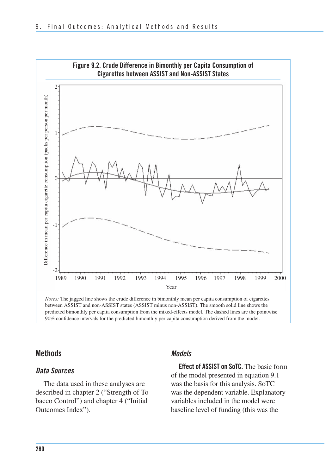

#### **Methods**

#### *Data Sources*

The data used in these analyses are described in chapter 2 ("Strength of Tobacco Control") and chapter 4 ("Initial Outcomes Index").

#### *Models*

 **Effect of ASSIST on SoTC.** The basic form of the model presented in equation 9.1 was the basis for this analysis. SoTC was the dependent variable. Explanatory variables included in the model were baseline level of funding (this was the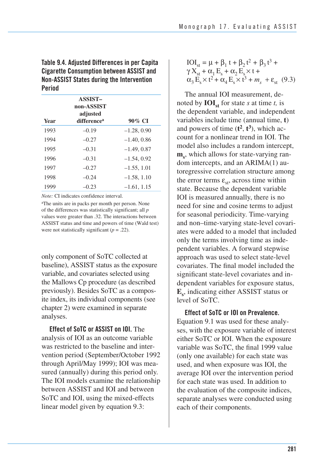**Table 9.4. Adjusted Differences in per Capita Cigarette Consumption between ASSIST and Non-ASSIST States during the Intervention Period** 

| Year | <b>ASSIST-</b><br>non-ASSIST<br>adjusted<br>difference <sup>a</sup> | 90% CI        |
|------|---------------------------------------------------------------------|---------------|
| 1993 | $-0.19$                                                             | $-1.28, 0.90$ |
| 1994 | $-0.27$                                                             | $-1.40, 0.86$ |
| 1995 | $-0.31$                                                             | $-1.49, 0.87$ |
| 1996 | $-0.31$                                                             | $-1.54, 0.92$ |
| 1997 | $-0.27$                                                             | $-1.55, 1.01$ |
| 1998 | $-0.24$                                                             | $-1.58, 1.10$ |
| 1999 | $-0.23$                                                             | $-1.61, 1.15$ |

*Note:* CI indicates confidence interval.

aThe units are in packs per month per person. None of the differences was statistically significant; all *p* values were greater than .32. The interactions between ASSIST status and time and powers of time (Wald test) were not statistically significant (*p* = .22).

 only component of SoTC collected at baseline), ASSIST status as the exposure variable, and covariates selected using the Mallows Cp procedure (as described previously). Besides SoTC as a compos- ite index, its individual components (see chapter 2) were examined in separate analyses.

**Effect of SoTC or ASSIST on IOI.** The analysis of IOI as an outcome variable was restricted to the baseline and intervention period (September/October 1992 through April/May 1999); IOI was measured (annually) during this period only. The IOI models examine the relationship between ASSIST and IOI and between SoTC and IOI, using the mixed-effects linear model given by equation 9.3:

#### IOI<sub>st</sub> = μ + β<sub>1</sub> t + β<sub>2</sub> t<sup>2</sup> + β<sub>3</sub> t<sup>3</sup> +  $\gamma X_{st} + \alpha_1 E_s + \alpha_2 E_s \times t +$  $\alpha_3 E_s \times t^2 + \alpha_4 E_s \times t^3 + m_s + \varepsilon_{st}$  (9.3)

 The annual IOI measurement, denoted by  $\text{IOI}_{\text{st}}$  for state *s* at time *t*, is the dependent variable, and independent variables include time (annual time, **t**) and powers of time  $(t^2, t^3)$ , which ac count for a nonlinear trend in IOI. The model also includes a random intercept,  $m_s$ , which allows for state-varying ran- dom intercepts, and an ARIMA(1) au- toregressive correlation structure among the error terms  $\varepsilon_{st}$ , across time within state. Because the dependent variable IOI is measured annually, there is no need for sine and cosine terms to adjust for seasonal periodicity. Time-varying and non–time-varying state-level covari- ates were added to a model that included only the terms involving time as inde- pendent variables. A forward stepwise approach was used to select state-level covariates. The final model included the significant state-level covariates and in- dependent variables for exposure status, **E** , indicating either ASSIST status or **<sup>s</sup>** level of SoTC.

**Effect of SoTC or IOI on Prevalence.**  Equation 9.1 was used for these analyses, with the exposure variable of interest either SoTC or IOI. When the exposure variable was SoTC, the final 1999 value (only one available) for each state was used, and when exposure was IOI, the average IOI over the intervention period for each state was used. In addition to the evaluation of the composite indices, separate analyses were conducted using each of their components.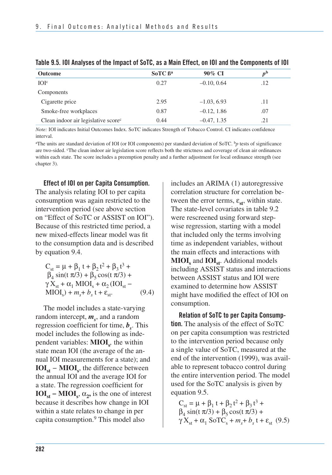| <b>Outcome</b>                                  | $SofC \beta^a$ | 90% CI        | $p^{\rm b}$ |
|-------------------------------------------------|----------------|---------------|-------------|
| IO <sub>lc</sub>                                | 0.27           | $-0.10, 0.64$ | .12         |
| Components                                      |                |               |             |
| Cigarette price                                 | 2.95           | $-1.03, 6.93$ | .11         |
| Smoke-free workplaces                           | 0.87           | $-0.12, 1.86$ | .07         |
| Clean indoor air legislative score <sup>c</sup> | 0.44           | $-0.47, 1.35$ | .21         |

*Note:* IOI indicates Initial Outcomes Index. SoTC indicates Strength of Tobacco Control. CI indicates confidence interval.

<sup>a</sup>The units are standard deviation of IOI (or IOI components) per standard deviation of SoTC.  $<sup>b</sup>p$  tests of significance</sup> are two-sided. <sup>c</sup>The clean indoor air legislation score reflects both the strictness and coverage of clean air ordinances within each state. The score includes a preemption penalty and a further adjustment for local ordinance strength (see chapter 3).

**Effect of IOI on per Capita Consumption.** 

The analysis relating IOI to per capita consumption was again restricted to the intervention period (see above section on "Effect of SoTC or ASSIST on IOI"). Because of this restricted time period, a new mixed-effects linear model was fit to the consumption data and is described by equation 9.4.

 $C_{st} = \mu + \beta_1 t + \beta_2 t^2 + \beta_3 t^3 +$  $β_4 \sin(t \pi/3) + β_5 \cos(t \pi/3) +$  $\gamma X_{st} + \alpha_1 MIOI_s + \alpha_2 (IOI_{st} MIOI<sub>s</sub> + m<sub>s</sub> + b<sub>s</sub> t + \varepsilon_{st}$  (9.4)

The model includes a state-varying random intercept,  $m_s$ , and a random regression coefficient for time, *b* . This *<sup>s</sup>* model includes the following as independent variables:  $\text{MIOI}_{\sigma}$ , the within state mean IOI (the average of the annual IOI measurements for a state); and  $IOI<sub>st</sub> – MIOI<sub>s</sub>$ , the difference between the annual IOI and the average IOI for a state. The regression coefficient for **IOI**<sub>st</sub> – **MIOI**<sub>s</sub>,  $\alpha_2$ , is the one of interest because it describes how change in IOI within a state relates to change in per capita consumption.9 This model also

includes an ARIMA (1) autoregressive correlation structure for correlation between the error terms,  $\varepsilon_{st}$ , within state. The state-level covariates in table 9.2 were rescreened using forward stepwise regression, starting with a model that included only the terms involving time as independent variables, without the main effects and interactions with **MIOI**<sub>s</sub> and **IOI**<sub>st</sub>. Additional models including ASSIST status and interactions between ASSIST status and IOI were examined to determine how ASSIST might have modified the effect of IOI on consumption.

**Relation of SoTC to per Capita Consumption.** The analysis of the effect of SoTC on per capita consumption was restricted to the intervention period because only a single value of SoTC, measured at the end of the intervention (1999), was available to represent tobacco control during the entire intervention period. The model used for the SoTC analysis is given by equation 9.5.

$$
C_{st} = \mu + \beta_1 t + \beta_2 t^2 + \beta_3 t^3 + \beta_4 \sin(t \pi/3) + \beta_5 \cos(t \pi/3) + \gamma X_{st} + \alpha_1 \text{S} \sigma \text{TC}_s + m_s + b_s t + \varepsilon_{st} \quad (9.5)
$$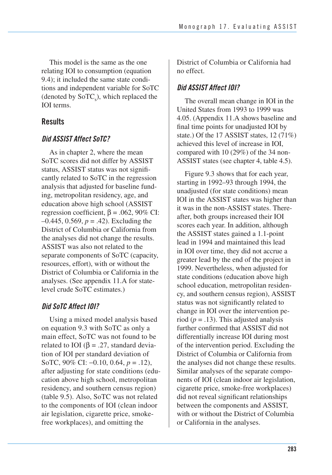This model is the same as the one relating IOI to consumption (equation 9.4); it included the same state conditions and independent variable for SoTC (denoted by  $S \circ TC$ ), which replaced the IOI terms.

## **Results**

#### *Did ASSIST Affect SoTC?*

As in chapter 2, where the mean SoTC scores did not differ by ASSIST status, ASSIST status was not significantly related to SoTC in the regression analysis that adjusted for baseline funding, metropolitan residency, age, and education above high school (ASSIST regression coefficient,  $β = .062, 90%$  CI: –0.445, 0.569, *p* = .42). Excluding the District of Columbia or California from the analyses did not change the results. ASSIST was also not related to the separate components of SoTC (capacity, resources, effort), with or without the District of Columbia or California in the analyses. (See appendix 11.A for statelevel crude SoTC estimates.)

## *Did SoTC Affect IOI?*

 Using a mixed model analysis based on equation 9.3 with SoTC as only a main effect, SoTC was not found to be related to IOI ( $\beta$  = .27, standard devia tion of IOI per standard deviation of SoTC, 90% CI: −0.10, 0.64, *p* = .12), after adjusting for state conditions (edu- cation above high school, metropolitan residency, and southern census region) (table 9.5). Also, SoTC was not related to the components of IOI (clean indoor air legislation, cigarette price, smoke-free workplaces), and omitting the

 District of Columbia or California had no effect.

## *Did ASSIST Affect IOI?*

 The overall mean change in IOI in the United States from 1993 to 1999 was 4.05. (Appendix 11.A shows baseline and final time points for unadjusted IOI by state.) Of the 17 ASSIST states, 12 (71%) achieved this level of increase in IOI, compared with 10 (29%) of the 34 non-ASSIST states (see chapter 4, table 4.5).

Figure 9.3 shows that for each year, starting in 1992–93 through 1994, the unadjusted (for state conditions) mean IOI in the ASSIST states was higher than it was in the non-ASSIST states. Thereafter, both groups increased their IOI scores each year. In addition, although the ASSIST states gained a 1.1-point lead in 1994 and maintained this lead in IOI over time, they did not accrue a greater lead by the end of the project in 1999. Nevertheless, when adjusted for state conditions (education above high school education, metropolitan residency, and southern census region), ASSIST status was not significantly related to change in IOI over the intervention period ( $p = .13$ ). This adjusted analysis further confirmed that ASSIST did not differentially increase IOI during most of the intervention period. Excluding the District of Columbia or California from the analyses did not change these results. Similar analyses of the separate components of IOI (clean indoor air legislation, cigarette price, smoke-free workplaces) did not reveal significant relationships between the components and ASSIST, with or without the District of Columbia or California in the analyses.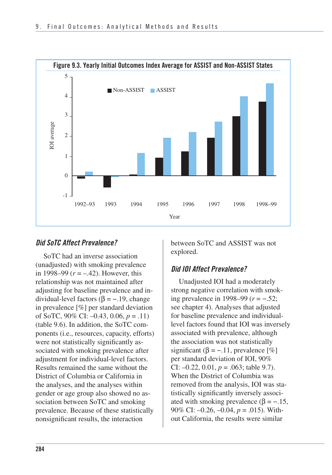

#### *Did SoTC Affect Prevalence?*

SoTC had an inverse association (unadjusted) with smoking prevalence in 1998–99 (*r* = –.42). However, this relationship was not maintained after adjusting for baseline prevalence and individual-level factors ( $β = -.19$ , change in prevalence [%] per standard deviation of SoTC, 90% CI: –0.43, 0.06, *p* = .11) (table 9.6). In addition, the SoTC components (i.e., resources, capacity, efforts) were not statistically significantly associated with smoking prevalence after adjustment for individual-level factors. Results remained the same without the District of Columbia or California in the analyses, and the analyses within gender or age group also showed no association between SoTC and smoking prevalence. Because of these statistically nonsignificant results, the interaction

between SoTC and ASSIST was not explored.

#### *Did IOI Affect Prevalence?*

Unadjusted IOI had a moderately strong negative correlation with smoking prevalence in 1998–99 (*r* = −.52; see chapter 4). Analyses that adjusted for baseline prevalence and individuallevel factors found that IOI was inversely associated with prevalence, although the association was not statistically significant ( $\beta = -11$ , prevalence [%] per standard deviation of IOI, 90% CI: –0.22, 0.01, *p* = .063; table 9.7). When the District of Columbia was removed from the analysis, IOI was statistically significantly inversely associated with smoking prevalence  $(\beta = -.15, )$ 90% CI: –0.26, –0.04, *p* = .015). Without California, the results were similar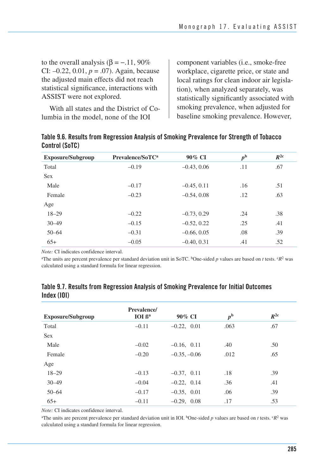to the overall analysis ( $β = -.11, 90%$ CI:  $-0.22$ , 0.01,  $p = .07$ ). Again, because the adjusted main effects did not reach statistical significance, interactions with ASSIST were not explored.

 With all states and the District of Co-lumbia in the model, none of the IOI

component variables (i.e., smoke-free workplace, cigarette price, or state and local ratings for clean indoor air legislation), when analyzed separately, was statistically significantly associated with smoking prevalence, when adjusted for baseline smoking prevalence. However,

| <b>Exposure/Subgroup</b> | Prevalence/SoTC <sup>a</sup> | 90% CI        | $p^{\rm b}$ | $R^{2c}$ |
|--------------------------|------------------------------|---------------|-------------|----------|
| Total                    | $-0.19$                      | $-0.43, 0.06$ | .11         | .67      |
| <b>Sex</b>               |                              |               |             |          |
| Male                     | $-0.17$                      | $-0.45, 0.11$ | .16         | .51      |
| Female                   | $-0.23$                      | $-0.54, 0.08$ | .12         | .63      |
| Age                      |                              |               |             |          |
| $18 - 29$                | $-0.22$                      | $-0.73, 0.29$ | .24         | .38      |
| $30 - 49$                | $-0.15$                      | $-0.52, 0.22$ | .25         | .41      |
| $50 - 64$                | $-0.31$                      | $-0.66, 0.05$ | .08         | .39      |
| $65+$                    | $-0.05$                      | $-0.40, 0.31$ | .41         | .52      |
|                          |                              |               |             |          |

| Table 9.6. Results from Regression Analysis of Smoking Prevalence for Strength of Tobacco |  |  |
|-------------------------------------------------------------------------------------------|--|--|
| Control (SoTC)                                                                            |  |  |

*Note:* CI indicates confidence interval.

<sup>a</sup>The units are percent prevalence per standard deviation unit in SoTC. <sup>b</sup>One-sided *p* values are based on *t* tests.  ${}^cR^2$  was calculated using a standard formula for linear regression.

|            |  |  |  | Table 9.7. Results from Regression Analysis of Smoking Prevalence for Initial Outcomes |  |
|------------|--|--|--|----------------------------------------------------------------------------------------|--|
| Index(101) |  |  |  |                                                                                        |  |

| <b>Exposure/Subgroup</b> | Prevalence/<br>IOI <sub>β<sup>a</sup></sub> | 90% CI           | $p^{\rm b}$ | $R^{2c}$ |
|--------------------------|---------------------------------------------|------------------|-------------|----------|
| Total                    | $-0.11$                                     | $-0.22, 0.01$    | .063        | .67      |
| <b>Sex</b>               |                                             |                  |             |          |
| Male                     | $-0.02$                                     | $-0.16$ , $0.11$ | .40         | .50      |
| Female                   | $-0.20$                                     | $-0.35, -0.06$   | .012        | .65      |
| Age                      |                                             |                  |             |          |
| $18 - 29$                | $-0.13$                                     | $-0.37, 0.11$    | .18         | .39      |
| $30 - 49$                | $-0.04$                                     | $-0.22, 0.14$    | .36         | .41      |
| $50 - 64$                | $-0.17$                                     | $-0.35, 0.01$    | .06         | .39      |
| $65+$                    | $-0.11$                                     | $-0.29, 0.08$    | .17         | .53      |

*Note:* CI indicates confidence interval.

<sup>a</sup>The units are percent prevalence per standard deviation unit in IOI. <sup>b</sup>One-sided *p* values are based on *t* tests.  ${}^cR^2$  was calculated using a standard formula for linear regression.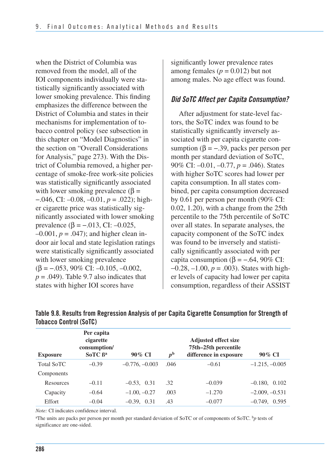when the District of Columbia was removed from the model, all of the IOI components individually were statistically significantly associated with lower smoking prevalence. This finding emphasizes the difference between the District of Columbia and states in their mechanisms for implementation of tobacco control policy (see subsection in this chapter on "Model Diagnostics" in the section on "Overall Considerations for Analysis," page 273). With the District of Columbia removed, a higher percentage of smoke-free work-site policies was statistically significantly associated with lower smoking prevalence ( $\beta$  = −.046, CI: –0.08, –0.01, *p* = .022); higher cigarette price was statistically significantly associated with lower smoking prevalence (β =  $-.013$ , CI:  $-0.025$ ,  $-0.001, p = .047$ ; and higher clean indoor air local and state legislation ratings were statistically significantly associated with lower smoking prevalence  $(\beta = -.053, 90\% \text{ CI: } -0.105, -0.002,$  $p = .049$ ). Table 9.7 also indicates that states with higher IOI scores have

significantly lower prevalence rates among females  $(p = 0.012)$  but not among males. No age effect was found.

#### *Did SoTC Affect per Capita Consumption?*

After adjustment for state-level factors, the SoTC index was found to be statistically significantly inversely associated with per capita cigarette consumption ( $\beta = -.39$ , packs per person per month per standard deviation of SoTC, 90% CI: –0.01, –0.77, *p* = .046). States with higher SoTC scores had lower per capita consumption. In all states combined, per capita consumption decreased by 0.61 per person per month (90% CI: 0.02, 1.20), with a change from the 25th percentile to the 75th percentile of SoTC over all states. In separate analyses, the capacity component of the SoTC index was found to be inversely and statistically significantly associated with per capita consumption ( $\beta$  = -.64, 90% CI: −0.28, –1.00, *p* = .003). States with higher levels of capacity had lower per capita consumption, regardless of their ASSIST

| <b>Exposure</b>   | Per capita<br>cigarette<br>consumption/<br>$SofC \beta^a$ | $90\%$ CI        | p <sup>b</sup> | <b>Adjusted effect size</b><br>75th–25th percentile<br>difference in exposure | 90% CI           |
|-------------------|-----------------------------------------------------------|------------------|----------------|-------------------------------------------------------------------------------|------------------|
| <b>Total SoTC</b> | $-0.39$                                                   | $-0.776, -0.003$ | .046           | $-0.61$                                                                       | $-1.215, -0.005$ |
| Components        |                                                           |                  |                |                                                                               |                  |
| Resources         | $-0.11$                                                   | $-0.53, 0.31$    | .32            | $-0.039$                                                                      | $-0.180, 0.102$  |
| Capacity          | $-0.64$                                                   | $-1.00, -0.27$   | .003           | $-1.270$                                                                      | $-2.009, -0.531$ |
| Effort            | $-0.04$                                                   | $-0.39, 0.31$    | .43            | $-0.077$                                                                      | $-0.749, 0.595$  |

| Table 9.8. Results from Regression Analysis of per Capita Cigarette Consumption for Strength of |  |  |
|-------------------------------------------------------------------------------------------------|--|--|
| <b>Tobacco Control (SoTC)</b>                                                                   |  |  |

*Note:* CI indicates confidence interval.

aThe units are packs per person per month per standard deviation of SoTC or of components of SoTC. b*p* tests of significance are one-sided.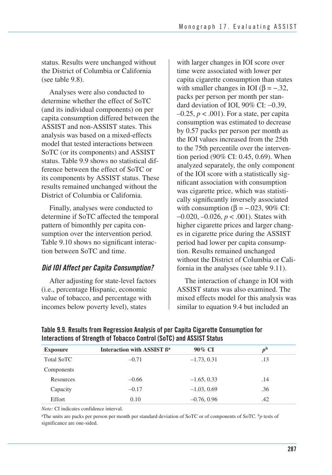status. Results were unchanged without the District of Columbia or California (see table  $9.8$ ).

Analyses were also conducted to determine whether the effect of SoTC (and its individual components) on per capita consumption differed between the ASSIST and non-ASSIST states. This analysis was based on a mixed-effects model that tested interactions between SoTC (or its components) and ASSIST status. Table 9.9 shows no statistical difference between the effect of SoTC or its components by ASSIST status. These results remained unchanged without the District of Columbia or California.

Finally, analyses were conducted to determine if SoTC affected the temporal pattern of bimonthly per capita consumption over the intervention period. Table 9.10 shows no significant interaction between SoTC and time.

#### *Did IOI Affect per Capita Consumption?*

After adjusting for state-level factors (i.e., percentage Hispanic, economic value of tobacco, and percentage with incomes below poverty level), states

with larger changes in IOI score over time were associated with lower per capita cigarette consumption than states with smaller changes in IOI ( $\beta = -.32$ , packs per person per month per standard deviation of IOI, 90% CI: −0.39,  $-0.25$ ,  $p < .001$ ). For a state, per capita consumption was estimated to decrease by 0.57 packs per person per month as the IOI values increased from the 25th to the 75th percentile over the intervention period (90% CI: 0.45, 0.69). When analyzed separately, the only component of the IOI score with a statistically significant association with consumption was cigarette price, which was statistically significantly inversely associated with consumption ( $\beta$  = -.023, 90% CI: −0.020, –0.026, *p* < .001). States with higher cigarette prices and larger changes in cigarette price during the ASSIST period had lower per capita consumption. Results remained unchanged without the District of Columbia or California in the analyses (see table 9.11).

The interaction of change in IOI with ASSIST status was also examined. The mixed effects model for this analysis was similar to equation 9.4 but included an

| <b>Exposure</b>   | Interaction with ASSIST B <sup>a</sup> | 90% CI        | p <sup>b</sup> |
|-------------------|----------------------------------------|---------------|----------------|
| <b>Total SoTC</b> | $-0.71$                                | $-1.73, 0.31$ | .13            |
| Components        |                                        |               |                |
| Resources         | $-0.66$                                | $-1.65, 0.33$ | .14            |
| Capacity          | $-0.17$                                | $-1.03, 0.69$ | .36            |
| Effort            | 0.10                                   | $-0.76, 0.96$ | .42            |

**Table 9.9. Results from Regression Analysis of per Capita Cigarette Consumption for Interactions of Strength of Tobacco Control (SoTC) and ASSIST Status** 

*Note:* CI indicates confidence interval.

aThe units are packs per person per month per standard deviation of SoTC or of components of SoTC. b*p* tests of significance are one-sided.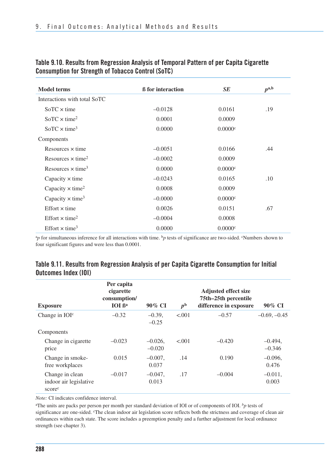| <b>Model terms</b>                   | <b>ß</b> for interaction | SE      | $p^{\text{a},\text{b}}$ |
|--------------------------------------|--------------------------|---------|-------------------------|
| Interactions with total SoTC         |                          |         |                         |
| $SoTC \times time$                   | $-0.0128$                | 0.0161  | .19                     |
| $SotC \times \text{time}^2$          | 0.0001                   | 0.0009  |                         |
| $SoTC \times time^3$                 | 0.0000                   | 0.0000c |                         |
| Components                           |                          |         |                         |
| Resources $\times$ time              | $-0.0051$                | 0.0166  | .44                     |
| Resources $\times$ time <sup>2</sup> | $-0.0002$                | 0.0009  |                         |
| Resources $\times$ time <sup>3</sup> | 0.0000                   | 0.0000c |                         |
| Capacity $\times$ time               | $-0.0243$                | 0.0165  | .10                     |
| Capacity $\times$ time <sup>2</sup>  | 0.0008                   | 0.0009  |                         |
| Capacity $\times$ time <sup>3</sup>  | $-0.0000$                | 0.0000c |                         |
| Effort $\times$ time                 | 0.0026                   | 0.0151  | .67                     |
| Effort $\times$ time <sup>2</sup>    | $-0.0004$                | 0.0008  |                         |
| Effort $\times$ time <sup>3</sup>    | 0.0000                   | 0.0000c |                         |

#### **Table 9.10. Results from Regression Analysis of Temporal Pattern of per Capita Cigarette Consumption for Strength of Tobacco Control (SoTC)**

<sup>a</sup>p for simultaneous inference for all interactions with time. <sup>b</sup>p tests of significance are two-sided. <sup>c</sup>Numbers shown to four significant figures and were less than 0.0001.

| <b>Exposure</b>                                                 | Per capita<br>cigarette<br>consumption/<br>IOI B <sup>a</sup> | 90% CI                 | p <sup>b</sup> | <b>Adjusted effect size</b><br>75th-25th percentile<br>difference in exposure | 90% CI                |
|-----------------------------------------------------------------|---------------------------------------------------------------|------------------------|----------------|-------------------------------------------------------------------------------|-----------------------|
| Change in $IOIc$                                                | $-0.32$                                                       | $-0.39$ .<br>$-0.25$   | < .001         | $-0.57$                                                                       | $-0.69, -0.45$        |
| Components                                                      |                                                               |                        |                |                                                                               |                       |
| Change in cigarette<br>price                                    | $-0.023$                                                      | $-0.026$ .<br>$-0.020$ | < 0.01         | $-0.420$                                                                      | $-0.494.$<br>$-0.346$ |
| Change in smoke-<br>free workplaces                             | 0.015                                                         | $-0.007$ ,<br>0.037    | .14            | 0.190                                                                         | $-0.096$ ,<br>0.476   |
| Change in clean<br>indoor air legislative<br>score <sup>c</sup> | $-0.017$                                                      | $-0.047$ .<br>0.013    | .17            | $-0.004$                                                                      | $-0.011$ ,<br>0.003   |

#### **Table 9.11. Results from Regression Analysis of per Capita Cigarette Consumption for Initial Outcomes Index (IOI)**

*Note:* CI indicates confidence interval.

aThe units are packs per person per month per standard deviation of IOI or of components of IOI. *bp* tests of significance are one-sided. <sup>c</sup>The clean indoor air legislation score reflects both the strictness and coverage of clean air ordinances within each state. The score includes a preemption penalty and a further adjustment for local ordinance strength (see chapter 3).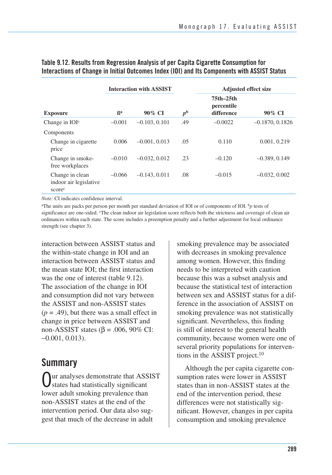|                                                                 |               | <b>Interaction with ASSIST</b> |                | <b>Adjusted effect size</b>           |                   |  |  |
|-----------------------------------------------------------------|---------------|--------------------------------|----------------|---------------------------------------|-------------------|--|--|
| <b>Exposure</b>                                                 | <sup>Rа</sup> | $90\%$ CI                      | p <sup>b</sup> | 75th-25th<br>percentile<br>difference | $90\%$ CI         |  |  |
| Change in IOI <sup>c</sup>                                      | $-0.001$      | $-0.103, 0.101$                | .49            | $-0.0022$                             | $-0.1870, 0.1826$ |  |  |
| Components                                                      |               |                                |                |                                       |                   |  |  |
| Change in cigarette<br>price                                    | 0.006         | $-0.001, 0.013$                | .05            | 0.110                                 | 0.001, 0.219      |  |  |
| Change in smoke-<br>free workplaces                             | $-0.010$      | $-0.032, 0.012$                | .23            | $-0.120$                              | $-0.389, 0.149$   |  |  |
| Change in clean<br>indoor air legislative<br>score <sup>c</sup> | $-0.066$      | $-0.143, 0.011$                | .08            | $-0.015$                              | $-0.032, 0.002$   |  |  |

#### **Table 9.12. Results from Regression Analysis of per Capita Cigarette Consumption for Interactions of Change in Initial Outcomes Index (IOI) and Its Components with ASSIST Status**

*Note:* CI indicates confidence interval.

aThe units are packs per person per month per standard deviation of IOI or of components of IOI. b*p* tests of significance are one-sided. The clean indoor air legislation score reflects both the strictness and coverage of clean air ordinances within each state. The score includes a preemption penalty and a further adjustment for local ordinance strength (see chapter 3).

interaction between ASSIST status and the within-state change in IOI and an interaction between ASSIST status and the mean state IOI; the first interaction was the one of interest (table 9.12). The association of the change in IOI and consumption did not vary between the ASSIST and non-ASSIST states  $(p = .49)$ , but there was a small effect in change in price between ASSIST and non-ASSIST states ( $β = .006, 90%$  CI: −0.001, 0.013).

# **Summary**

Our analyses demonstrate that ASSIST states had statistically significant lower adult smoking prevalence than non-ASSIST states at the end of the intervention period. Our data also suggest that much of the decrease in adult

smoking prevalence may be associated with decreases in smoking prevalence among women. However, this finding needs to be interpreted with caution because this was a subset analysis and because the statistical test of interaction between sex and ASSIST status for a difference in the association of ASSIST on smoking prevalence was not statistically significant. Nevertheless, this finding is still of interest to the general health community, because women were one of several priority populations for interventions in the ASSIST project.10

Although the per capita cigarette consumption rates were lower in ASSIST states than in non-ASSIST states at the end of the intervention period, these differences were not statistically significant. However, changes in per capita consumption and smoking prevalence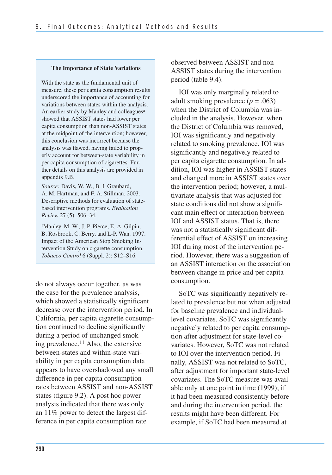#### **The Importance of State Variations**

With the state as the fundamental unit of measure, these per capita consumption results underscored the importance of accounting for variations between states within the analysis. An earlier study by Manley and colleagues<sup>a</sup> showed that ASSIST states had lower per capita consumption than non-ASSIST states at the midpoint of the intervention; however, this conclusion was incorrect because the analysis was flawed, having failed to properly account for between-state variability in per capita consumption of cigarettes. Further details on this analysis are provided in appendix 9.B.

*Source:* Davis, W. W., B. I. Graubard, A. M. Hartman, and F. A. Stillman. 2003. Descriptive methods for evaluation of statebased intervention programs. *Evaluation Review* 27 (5): 506–34.

aManley, M. W., J. P. Pierce, E. A. Gilpin, B. Rosbrook, C. Berry, and L-P. Wan. 1997. Impact of the American Stop Smoking Intervention Study on cigarette consumption. *Tobacco Control* 6 (Suppl. 2): S12–S16.

do not always occur together, as was the case for the prevalence analysis, which showed a statistically significant decrease over the intervention period. In California, per capita cigarette consumption continued to decline significantly during a period of unchanged smoking prevalence.<sup>11</sup> Also, the extensive between-states and within-state variability in per capita consumption data appears to have overshadowed any small difference in per capita consumption rates between ASSIST and non-ASSIST states (figure 9.2). A post hoc power analysis indicated that there was only an 11% power to detect the largest difference in per capita consumption rate

observed between ASSIST and non-ASSIST states during the intervention period (table 9.4).

IOI was only marginally related to adult smoking prevalence  $(p = .063)$ when the District of Columbia was included in the analysis. However, when the District of Columbia was removed, IOI was significantly and negatively related to smoking prevalence. IOI was significantly and negatively related to per capita cigarette consumption. In addition, IOI was higher in ASSIST states and changed more in ASSIST states over the intervention period; however, a multivariate analysis that was adjusted for state conditions did not show a significant main effect or interaction between IOI and ASSIST status. That is, there was not a statistically significant differential effect of ASSIST on increasing IOI during most of the intervention period. However, there was a suggestion of an ASSIST interaction on the association between change in price and per capita consumption.

SoTC was significantly negatively related to prevalence but not when adjusted for baseline prevalence and individuallevel covariates. SoTC was significantly negatively related to per capita consumption after adjustment for state-level covariates. However, SoTC was not related to IOI over the intervention period. Finally, ASSIST was not related to SoTC, after adjustment for important state-level covariates. The SoTC measure was available only at one point in time (1999); if it had been measured consistently before and during the intervention period, the results might have been different. For example, if SoTC had been measured at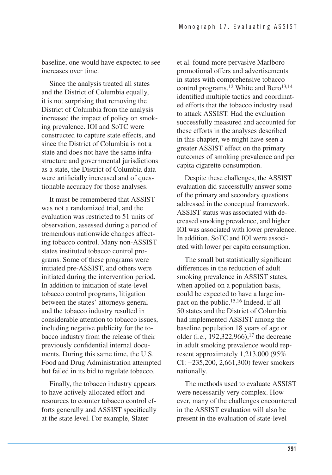baseline, one would have expected to see increases over time.

Since the analysis treated all states and the District of Columbia equally, it is not surprising that removing the District of Columbia from the analysis increased the impact of policy on smoking prevalence. IOI and SoTC were constructed to capture state effects, and since the District of Columbia is not a state and does not have the same infrastructure and governmental jurisdictions as a state, the District of Columbia data were artificially increased and of questionable accuracy for those analyses.

It must be remembered that ASSIST was not a randomized trial, and the evaluation was restricted to 51 units of observation, assessed during a period of tremendous nationwide changes affecting tobacco control. Many non-ASSIST states instituted tobacco control programs. Some of these programs were initiated pre-ASSIST, and others were initiated during the intervention period. In addition to initiation of state-level tobacco control programs, litigation between the states' attorneys general and the tobacco industry resulted in considerable attention to tobacco issues, including negative publicity for the tobacco industry from the release of their previously confidential internal documents. During this same time, the U.S. Food and Drug Administration attempted but failed in its bid to regulate tobacco.

Finally, the tobacco industry appears to have actively allocated effort and resources to counter tobacco control efforts generally and ASSIST specifically at the state level. For example, Slater

et al. found more pervasive Marlboro promotional offers and advertisements in states with comprehensive tobacco control programs.<sup>12</sup> White and Bero<sup>13,14</sup> identified multiple tactics and coordinated efforts that the tobacco industry used to attack ASSIST. Had the evaluation successfully measured and accounted for these efforts in the analyses described in this chapter, we might have seen a greater ASSIST effect on the primary outcomes of smoking prevalence and per capita cigarette consumption.

 Despite these challenges, the ASSIST evaluation did successfully answer some of the primary and secondary questions addressed in the conceptual framework. ASSIST status was associated with de- creased smoking prevalence, and higher IOI was associated with lower prevalence. In addition, SoTC and IOI were associ-ated with lower per capita consumption.

The small but statistically significant differences in the reduction of adult smoking prevalence in ASSIST states, when applied on a population basis, could be expected to have a large impact on the public.15,16 Indeed, if all 50 states and the District of Columbia had implemented ASSIST among the baseline population 18 years of age or older (i.e.,  $192,322,966$ ), <sup>17</sup> the decrease in adult smoking prevalence would represent approximately 1,213,000 (95% CI: −235,200, 2,661,300) fewer smokers nationally.

The methods used to evaluate ASSIST were necessarily very complex. However, many of the challenges encountered in the ASSIST evaluation will also be present in the evaluation of state-level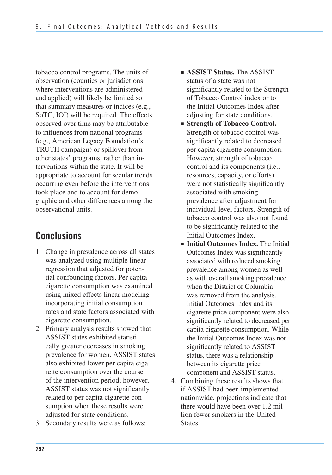tobacco control programs. The units of observation (counties or jurisdictions where interventions are administered and applied) will likely be limited so that summary measures or indices (e.g., SoTC, IOI) will be required. The effects observed over time may be attributable to influences from national programs (e.g., American Legacy Foundation's TRUTH campaign) or spillover from other states' programs, rather than interventions within the state. It will be appropriate to account for secular trends occurring even before the interventions took place and to account for demographic and other differences among the observational units.

# **Conclusions**

- 1. Change in prevalence across all states was analyzed using multiple linear regression that adjusted for potential confounding factors. Per capita cigarette consumption was examined using mixed effects linear modeling incorporating initial consumption rates and state factors associated with cigarette consumption.
- 2. Primary analysis results showed that ASSIST states exhibited statistically greater decreases in smoking prevalence for women. ASSIST states also exhibited lower per capita cigarette consumption over the course of the intervention period; however, ASSIST status was not significantly related to per capita cigarette consumption when these results were adjusted for state conditions.
- 3. Secondary results were as follows:
- **B** ASSIST Status. The ASSIST status of a state was not significantly related to the Strength of Tobacco Control index or to the Initial Outcomes Index after adjusting for state conditions.
- **Strength of Tobacco Control.**  Strength of tobacco control was significantly related to decreased per capita cigarette consumption. However, strength of tobacco control and its components (i.e., resources, capacity, or efforts) were not statistically significantly associated with smoking prevalence after adjustment for individual-level factors. Strength of tobacco control was also not found to be significantly related to the Initial Outcomes Index.
- ■ **Initial Outcomes Index.** The Initial Outcomes Index was significantly associated with reduced smoking prevalence among women as well as with overall smoking prevalence when the District of Columbia was removed from the analysis. Initial Outcomes Index and its cigarette price component were also significantly related to decreased per capita cigarette consumption. While the Initial Outcomes Index was not significantly related to ASSIST status, there was a relationship between its cigarette price component and ASSIST status.
- 4. Combining these results shows that if ASSIST had been implemented nationwide, projections indicate that there would have been over 1.2 million fewer smokers in the United States.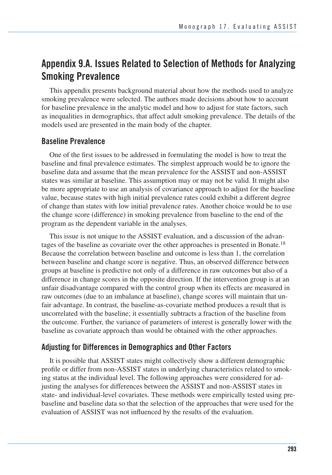# **Appendix 9.A. Issues Related to Selection of Methods for Analyzing Smoking Prevalence**

This appendix presents background material about how the methods used to analyze smoking prevalence were selected. The authors made decisions about how to account for baseline prevalence in the analytic model and how to adjust for state factors, such as inequalities in demographics, that affect adult smoking prevalence. The details of the models used are presented in the main body of the chapter.

#### **Baseline Prevalence**

One of the first issues to be addressed in formulating the model is how to treat the baseline and final prevalence estimates. The simplest approach would be to ignore the baseline data and assume that the mean prevalence for the ASSIST and non-ASSIST states was similar at baseline. This assumption may or may not be valid. It might also be more appropriate to use an analysis of covariance approach to adjust for the baseline value, because states with high initial prevalence rates could exhibit a different degree of change than states with low initial prevalence rates. Another choice would be to use the change score (difference) in smoking prevalence from baseline to the end of the program as the dependent variable in the analyses.

This issue is not unique to the ASSIST evaluation, and a discussion of the advantages of the baseline as covariate over the other approaches is presented in Bonate.18 Because the correlation between baseline and outcome is less than 1, the correlation between baseline and change score is negative. Thus, an observed difference between groups at baseline is predictive not only of a difference in raw outcomes but also of a difference in change scores in the opposite direction. If the intervention group is at an unfair disadvantage compared with the control group when its effects are measured in raw outcomes (due to an imbalance at baseline), change scores will maintain that unfair advantage. In contrast, the baseline-as-covariate method produces a result that is uncorrelated with the baseline; it essentially subtracts a fraction of the baseline from the outcome. Further, the variance of parameters of interest is generally lower with the baseline as covariate approach than would be obtained with the other approaches.

#### **Adjusting for Differences in Demographics and Other Factors**

It is possible that ASSIST states might collectively show a different demographic profile or differ from non-ASSIST states in underlying characteristics related to smoking status at the individual level. The following approaches were considered for adjusting the analyses for differences between the ASSIST and non-ASSIST states in state- and individual-level covariates. These methods were empirically tested using prebaseline and baseline data so that the selection of the approaches that were used for the evaluation of ASSIST was not influenced by the results of the evaluation.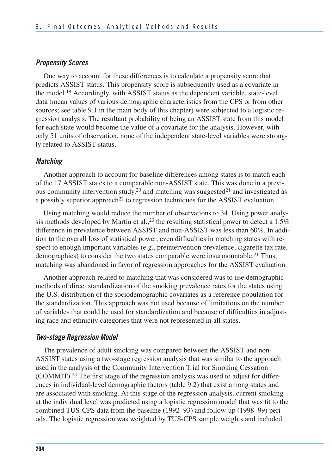#### *Propensity Scores*

One way to account for these differences is to calculate a propensity score that predicts ASSIST status. This propensity score is subsequently used as a covariate in the model.19 Accordingly, with ASSIST status as the dependent variable, state-level data (mean values of various demographic characteristics from the CPS or from other sources; see table 9.1 in the main body of this chapter) were subjected to a logistic regression analysis. The resultant probability of being an ASSIST state from this model for each state would become the value of a covariate for the analysis. However, with only 51 units of observation, none of the independent state-level variables were strongly related to ASSIST status.

#### *Matching*

Another approach to account for baseline differences among states is to match each of the 17 ASSIST states to a comparable non-ASSIST state. This was done in a previous community intervention study,<sup>20</sup> and matching was suggested<sup>21</sup> and investigated as a possibly superior approach<sup>22</sup> to regression techniques for the ASSIST evaluation.

Using matching would reduce the number of observations to 34. Using power analysis methods developed by Martin et al.,  $^{23}$  the resulting statistical power to detect a 1.5% difference in prevalence between ASSIST and non-ASSIST was less than 60%. In addition to the overall loss of statistical power, even difficulties in matching states with respect to enough important variables (e.g., preintervention prevalence, cigarette tax rate, demographics) to consider the two states comparable were insurmountable.<sup>21</sup> Thus, matching was abandoned in favor of regression approaches for the ASSIST evaluation.

Another approach related to matching that was considered was to use demographic methods of direct standardization of the smoking prevalence rates for the states using the U.S. distribution of the sociodemographic covariates as a reference population for the standardization. This approach was not used because of limitations on the number of variables that could be used for standardization and because of difficulties in adjusting race and ethnicity categories that were not represented in all states.

#### *Two-stage Regression Model*

The prevalence of adult smoking was compared between the ASSIST and non-ASSIST states using a two-stage regression analysis that was similar to the approach used in the analysis of the Community Intervention Trial for Smoking Cessation (COMMIT).24 The first stage of the regression analysis was used to adjust for differences in individual-level demographic factors (table 9.2) that exist among states and are associated with smoking. At this stage of the regression analysis, current smoking at the individual level was predicted using a logistic regression model that was fit to the combined TUS-CPS data from the baseline (1992–93) and follow-up (1998–99) periods. The logistic regression was weighted by TUS-CPS sample weights and included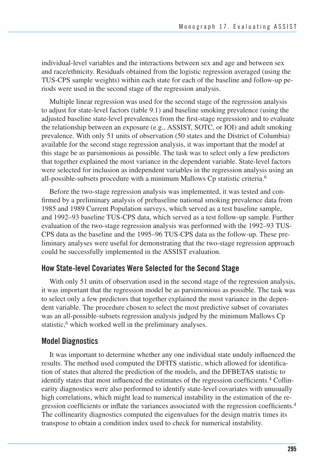individual-level variables and the interactions between sex and age and between sex and race/ethnicity. Residuals obtained from the logistic regression averaged (using the TUS-CPS sample weights) within each state for each of the baseline and follow-up periods were used in the second stage of the regression analysis.

Multiple linear regression was used for the second stage of the regression analysis to adjust for state-level factors (table 9.1) and baseline smoking prevalence (using the adjusted baseline state-level prevalences from the first-stage regression) and to evaluate the relationship between an exposure (e.g., ASSIST, SOTC, or IOI) and adult smoking prevalence. With only 51 units of observation (50 states and the District of Columbia) available for the second stage regression analysis, it was important that the model at this stage be as parsimonious as possible. The task was to select only a few predictors that together explained the most variance in the dependent variable. State-level factors were selected for inclusion as independent variables in the regression analysis using an all-possible-subsets procedure with a minimum Mallows Cp statistic criteria.6

Before the two-stage regression analysis was implemented, it was tested and confirmed by a preliminary analysis of prebaseline national smoking prevalence data from 1985 and 1989 Current Population surveys, which served as a test baseline sample, and 1992–93 baseline TUS-CPS data, which served as a test follow-up sample. Further evaluation of the two-stage regression analysis was performed with the 1992–93 TUS-CPS data as the baseline and the 1995–96 TUS-CPS data as the follow-up. These preliminary analyses were useful for demonstrating that the two-stage regression approach could be successfully implemented in the ASSIST evaluation.

#### **How State-level Covariates Were Selected for the Second Stage**

With only 51 units of observation used in the second stage of the regression analysis, it was important that the regression model be as parsimonious as possible. The task was to select only a few predictors that together explained the most variance in the dependent variable. The procedure chosen to select the most predictive subset of covariates was an all-possible-subsets regression analysis judged by the minimum Mallows Cp statistic,<sup>6</sup> which worked well in the preliminary analyses.

#### **Model Diagnostics**

It was important to determine whether any one individual state unduly influenced the results. The method used computed the DFITS statistic, which allowed for identification of states that altered the prediction of the models, and the DFBETAS statistic to identify states that most influenced the estimates of the regression coefficients.4 Collinearity diagnostics were also performed to identify state-level covariates with unusually high correlations, which might lead to numerical instability in the estimation of the regression coefficients or inflate the variances associated with the regression coefficients.4 The collinearity diagnostics computed the eigenvalues for the design matrix times its transpose to obtain a condition index used to check for numerical instability.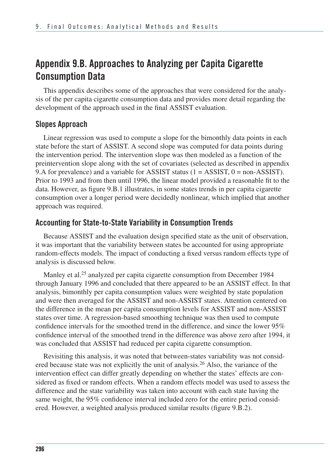# **Appendix 9.B. Approaches to Analyzing per Capita Cigarette Consumption Data**

This appendix describes some of the approaches that were considered for the analysis of the per capita cigarette consumption data and provides more detail regarding the development of the approach used in the final ASSIST evaluation.

#### **Slopes Approach**

Linear regression was used to compute a slope for the bimonthly data points in each state before the start of ASSIST. A second slope was computed for data points during the intervention period. The intervention slope was then modeled as a function of the preintervention slope along with the set of covariates (selected as described in appendix 9.A for prevalence) and a variable for ASSIST status  $(1 = ASSIST, 0 = non-ASSIST)$ . Prior to 1993 and from then until 1996, the linear model provided a reasonable fit to the data. However, as figure 9.B.1 illustrates, in some states trends in per capita cigarette consumption over a longer period were decidedly nonlinear, which implied that another approach was required.

### **Accounting for State-to-State Variability in Consumption Trends**

Because ASSIST and the evaluation design specified state as the unit of observation, it was important that the variability between states be accounted for using appropriate random-effects models. The impact of conducting a fixed versus random effects type of analysis is discussed below.

Manley et al.<sup>25</sup> analyzed per capita cigarette consumption from December 1984 through January 1996 and concluded that there appeared to be an ASSIST effect. In that analysis, bimonthly per capita consumption values were weighted by state population and were then averaged for the ASSIST and non-ASSIST states. Attention centered on the difference in the mean per capita consumption levels for ASSIST and non-ASSIST states over time. A regression-based smoothing technique was then used to compute confidence intervals for the smoothed trend in the difference, and since the lower 95% confidence interval of the smoothed trend in the difference was above zero after 1994, it was concluded that ASSIST had reduced per capita cigarette consumption.

Revisiting this analysis, it was noted that between-states variability was not considered because state was not explicitly the unit of analysis.<sup>26</sup> Also, the variance of the intervention effect can differ greatly depending on whether the states' effects are considered as fixed or random effects. When a random effects model was used to assess the difference and the state variability was taken into account with each state having the same weight, the 95% confidence interval included zero for the entire period considered. However, a weighted analysis produced similar results (figure 9.B.2).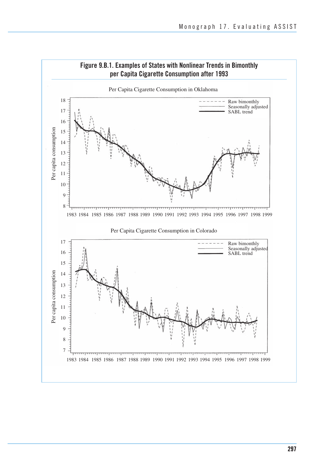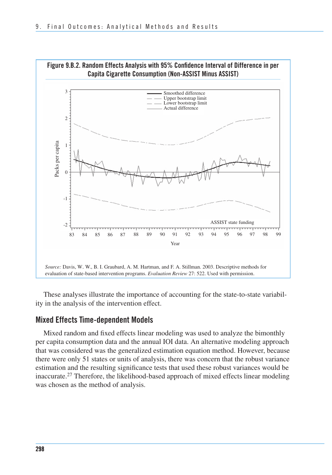

These analyses illustrate the importance of accounting for the state-to-state variability in the analysis of the intervention effect.

#### **Mixed Effects Time-dependent Models**

Mixed random and fixed effects linear modeling was used to analyze the bimonthly per capita consumption data and the annual IOI data. An alternative modeling approach that was considered was the generalized estimation equation method. However, because there were only 51 states or units of analysis, there was concern that the robust variance estimation and the resulting significance tests that used these robust variances would be inaccurate.27 Therefore, the likelihood-based approach of mixed effects linear modeling was chosen as the method of analysis.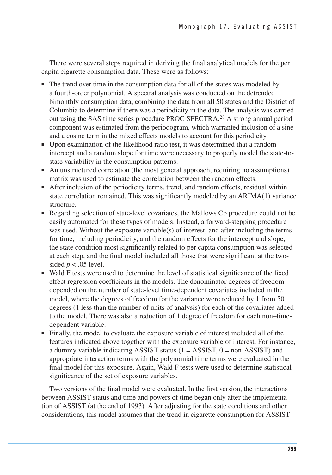There were several steps required in deriving the final analytical models for the per capita cigarette consumption data. These were as follows:

- The trend over time in the consumption data for all of the states was modeled by a fourth-order polynomial. A spectral analysis was conducted on the detrended bimonthly consumption data, combining the data from all 50 states and the District of Columbia to determine if there was a periodicity in the data. The analysis was carried out using the SAS time series procedure PROC SPECTRA.28 A strong annual period component was estimated from the periodogram, which warranted inclusion of a sine and a cosine term in the mixed effects models to account for this periodicity.
- Upon examination of the likelihood ratio test, it was determined that a random intercept and a random slope for time were necessary to properly model the state-tostate variability in the consumption patterns.
- An unstructured correlation (the most general approach, requiring no assumptions) matrix was used to estimate the correlation between the random effects.
- After inclusion of the periodicity terms, trend, and random effects, residual within state correlation remained. This was significantly modeled by an ARIMA(1) variance structure.
- Regarding selection of state-level covariates, the Mallows Cp procedure could not be easily automated for these types of models. Instead, a forward-stepping procedure was used. Without the exposure variable(s) of interest, and after including the terms for time, including periodicity, and the random effects for the intercept and slope, the state condition most significantly related to per capita consumption was selected at each step, and the final model included all those that were significant at the twosided  $p < .05$  level.
- Wald F tests were used to determine the level of statistical significance of the fixed effect regression coefficients in the models. The denominator degrees of freedom depended on the number of state-level time-dependent covariates included in the model, where the degrees of freedom for the variance were reduced by 1 from 50 degrees (1 less than the number of units of analysis) for each of the covariates added to the model. There was also a reduction of 1 degree of freedom for each non–timedependent variable.
- Finally, the model to evaluate the exposure variable of interest included all of the features indicated above together with the exposure variable of interest. For instance, a dummy variable indicating ASSIST status  $(1 = ASSIST, 0 = non-ASSIST)$  and appropriate interaction terms with the polynomial time terms were evaluated in the final model for this exposure. Again, Wald F tests were used to determine statistical significance of the set of exposure variables.

 Two versions of the final model were evaluated. In the first version, the interactions between ASSIST status and time and powers of time began only after the implementa- tion of ASSIST (at the end of 1993). After adjusting for the state conditions and other considerations, this model assumes that the trend in cigarette consumption for ASSIST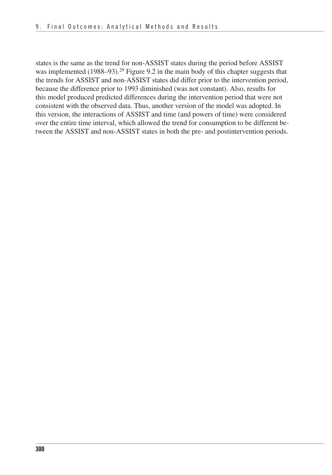states is the same as the trend for non-ASSIST states during the period before ASSIST was implemented (1988–93).<sup>29</sup> Figure 9.2 in the main body of this chapter suggests that the trends for ASSIST and non-ASSIST states did differ prior to the intervention period, because the difference prior to 1993 diminished (was not constant). Also, results for this model produced predicted differences during the intervention period that were not consistent with the observed data. Thus, another version of the model was adopted. In this version, the interactions of ASSIST and time (and powers of time) were considered over the entire time interval, which allowed the trend for consumption to be different be-tween the ASSIST and non-ASSIST states in both the pre- and postintervention periods.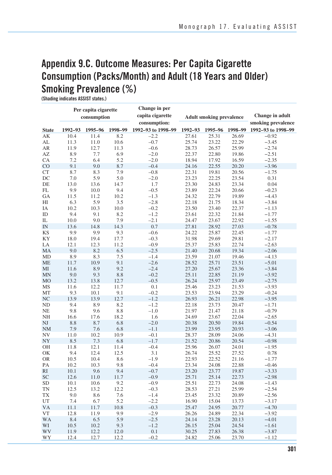# **Appendix 9.C. Outcome Measures: Per Capita Cigarette Consumption (Packs/Month) and Adult (18 Years and Older) Smoking Prevalence (%)**

**(Shading indicates ASSIST states.)** 

|                 |              | Per capita cigarette |             | Change in per      |                                 |                |                 |                    |
|-----------------|--------------|----------------------|-------------|--------------------|---------------------------------|----------------|-----------------|--------------------|
|                 |              | consumption          |             | capita cigarette   | <b>Adult smoking prevalence</b> |                | Change in adult |                    |
|                 |              |                      |             | consumption:       |                                 |                |                 | smoking prevalence |
| <b>State</b>    | 1992-93      | 1995-96              | 1998-99     | 1992-93 to 1998-99 | 1992-93                         | 1995-96        | 1998-99         | 1992-93 to 1998-99 |
| AK              | 10.4         | 11.4                 | 8.2         | $-2.2$             | 27.61                           | 25.31          | 26.69           | $-0.92$            |
| AL              | 11.3         | 11.0                 | 10.6        | $-0.7$             | 25.74                           | 23.22          | 22.29           | $-3.45$            |
| AR              | 11.9         | 12.7                 | 11.3        | $-0.6$             | 28.73                           | 26.57          | 25.99           | $-2.74$            |
| AZ              | 8.9          | 7.7                  | 6.9         | $-2.0$             | 22.37                           | 22.80          | 19.86           | $-2.51$            |
| CA              | 7.2          | 6.4                  | 5.2         | $-2.0$             | 18.94                           | 17.92          | 16.59           | $-2.35$            |
| CO              | 9.1          | 9.0                  | 8.7         | $-0.4$             | 24.16                           | 22.55          | 20.20           | $-3.96$            |
| <b>CT</b>       | 8.7          | 8.3                  | 7.9         | $-0.8$             | 22.31                           | 19.81          | 20.56           | $-1.75$            |
| DC<br>DE        | 7.0          | 5.9                  | 5.0         | $-2.0$<br>1.7      | 23.23                           | 22.25          | 23.54           | 0.31               |
| FL              | 13.0<br>9.9  | 13.6                 | 14.7<br>9.4 | $-0.5$             | 23.30<br>23.89                  | 24.83<br>22.24 | 23.34<br>20.66  | 0.04<br>$-0.23$    |
| GA              | 11.5         | 10.0<br>11.2         | 10.2        | $-1.3$             | 24.32                           | 22.79          | 19.89           | $-4.43$            |
| НI              | 6.3          | 5.9                  | 3.5         | $-2.8$             | 22.18                           | 21.75          | 18.34           | $-3.84$            |
| IA              | 10.2         | 10.3                 | 10.0        | $-0.2$             | 23.50                           | 23.40          | 22.37           | $-1.13$            |
| ID              | 9.4          | 9.1                  | 8.2         | $-1.2$             | 23.61                           | 22.32          | 21.84           | $-1.77$            |
| IL              | 10.0         | 9.0                  | 7.9         | $-2.1$             | 24.47                           | 23.67          | 22.92           | $-1.55$            |
| IN              | 13.6         | 14.8                 | 14.3        | 0.7                | 27.81                           | 28.92          | 27.03           | $-0.78$            |
| KS              | 9.9          | 9.9                  | 9.3         | $-0.6$             | 24.22                           | 25.87          | 22.45           | $-1.77$            |
| KY              | 18.0         | 19.4                 | 17.7        | $-0.3$             | 31.98                           | 29.69          | 29.81           | $-2.17$            |
| LA              | 12.1         | 12.3                 | 11.2        | $-0.9$             | 25.37                           | 25.83          | 22.74           | $-2.63$            |
| MA              | 9.0          | 8.2                  | 6.5         | $-2.5$             | 21.40                           | 20.68          | 19.34           | $-2.06$            |
| <b>MD</b>       | 8.9          | 8.3                  | $7.5\,$     | $-1.4$             | 23.59                           | 21.07          | 19.46           | $-4.13$            |
| <b>ME</b>       | 11.7         | 10.9                 | 9.1         | $-2.6$             | 28.52                           | 25.71          | 23.51           | $-5.01$            |
| MI              | 11.6         | 8.9                  | 9.2         | $-2.4$             | 27.20                           | 25.67          | 23.36           | $-3.84$            |
| <b>MN</b>       | 9.0          | 9.3                  | 8.8         | $-0.2$             | 25.11                           | 22.85          | 21.19           | $-3.92$            |
| M <sub>O</sub>  | 13.2         | 13.8                 | 12.7        | $-0.5$             | 26.24                           | 25.97          | 23.49           | $-2.75$            |
| MS              | 11.6         | 12.2                 | 11.7        | 0.1                | 25.46                           | 23.23          | 21.53           | $-3.93$            |
| MT              | 9.3          | 10.1                 | 9.1         | $-0.2$             | 23.53                           | 23.94          | 23.29           | $-0.24$            |
| NC              | 13.9         | 13.9                 | 12.7        | $-1.2$             | 26.93                           | 26.21          | 22.98           | $-3.95$            |
| ND              | 9.4          | 8.9                  | 8.2         | $-1.2$             | 22.18                           | 23.73          | 20.47           | $-1.71$            |
| <b>NE</b>       | 9.8          | 9.6                  | 8.8         | $-1.0$             | 21.97                           | 21.47          | 21.18           | $-0.79$            |
| NH              | 16.6         | 17.6                 | 18.2        | 1.6                | 24.69                           | 23.67          | 22.04           | $-2.65$            |
| NJ              | 8.8          | 8.7                  | 6.8         | $-2.0$             | 20.38                           | 20.50          | 19.84           | $-0.54$            |
| <b>NM</b>       | 7.9          | 7.6                  | 6.8         | $-1.1$             | 23.99                           | 23.95          | 20.93           | $-3.06$            |
| NV              | 11.0         | 10.2                 | 10.9        | $-0.1$             | 28.37                           | 28.09          | 24.06           | $-4.31$            |
| NY              | 8.5          | 7.3                  | 6.8         | $-1.7$             | 21.52                           | 20.86          | 20.54           | $-0.98$            |
| OH              | 11.8         | 12.1                 | 11.4        | $-0.4$             | 25.96                           | 26.07          | 24.01           | $-1.95$            |
| OK              | 9.4          | 12.4                 | 12.5        | 3.1                | 26.74                           | 25.52          | 27.52           | 0.78               |
| <b>OR</b>       | 10.5         | 10.4                 | 8.6         | $-1.9$             | 22.93                           | 22.52          | 21.16           | $-1.77$            |
| PA              | 10.2         | 10.3                 | 9.8         | $-0.4$             | 23.34                           | 24.08          | 22.88           | $-0.46$            |
| RI<br><b>SC</b> | 10.1<br>12.6 | 9.6                  | 9.4         | $-0.7$<br>$-0.9$   | 23.20                           | 23.77          | 19.87           | $-3.33$            |
| <b>SD</b>       | 10.1         | 11.0<br>10.6         | 11.7<br>9.2 | $-0.9$             | 25.71<br>25.51                  | 25.14<br>22.73 | 22.73<br>24.08  | $-2.98$<br>$-1.43$ |
| <b>TN</b>       | 12.5         | 13.2                 | 12.2        | $-0.3$             | 28.53                           | 27.21          | 25.99           | $-2.54$            |
| TX              | 9.0          | 8.6                  | 7.6         | $-1.4$             | 23.45                           | 23.32          | 20.89           | $-2.56$            |
| UT              | 7.4          | 6.7                  | 5.2         | $-2.2$             | 16.90                           | 15.04          | 13.73           | $-3.17$            |
| <b>VA</b>       | 11.1         | 11.7                 | 10.8        | $-0.3$             | 25.47                           | 24.95          | 20.77           | $-4.70$            |
| <b>VT</b>       | 12.8         | 11.9                 | 9.9         | $-2.9$             | 26.26                           | 24.89          | 22.34           | $-3.92$            |
| <b>WA</b>       | 8.4          | 6.5                  | 5.9         | $-2.5$             | 24.14                           | 23.28          | 20.13           | $-4.01$            |
| WI              | 10.5         | 10.2                 | 9.3         | $-1.2$             | 26.15                           | 25.04          | 24.54           | $-1.61$            |
| WV              | 11.9         | 12.2                 | 12.0        | 0.1                | 30.25                           | 27.83          | 26.38           | $-3.87$            |
| WY              | 12.4         | 12.7                 | 12.2        | $-0.2$             | 24.82                           | 25.06          | 23.70           | $-1.12$            |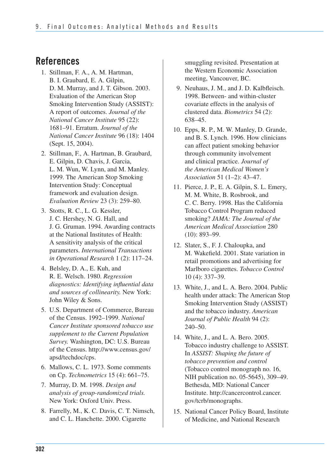# **References**

- 1. Stillman, F. A., A. M. Hartman, B. I. Graubard, E. A. Gilpin, D. M. Murray, and J. T. Gibson. 2003. Evaluation of the American Stop Smoking Intervention Study (ASSIST): A report of outcomes. *Journal of the National Cancer Institute* 95 (22): 1681–91. Erratum. *Journal of the National Cancer Institute* 96 (18): 1404 (Sept. 15, 2004).
- 2. Stillman, F., A. Hartman, B. Graubard, E. Gilpin, D. Chavis, J. Garcia, L. M. Wun, W. Lynn, and M. Manley. 1999. The American Stop Smoking Intervention Study: Conceptual framework and evaluation design. *Evaluation Review* 23 (3): 259–80.
- 3. Stotts, R. C., L. G. Kessler, J. C. Hershey, N. G. Hall, and J. G. Gruman. 1994. Awarding contracts at the National Institutes of Health: A sensitivity analysis of the critical parameters. *International Transactions in Operational Research* 1 (2): 117–24.
- 4. Belsley, D. A., E. Kuh, and R. E. Welsch. 1980. *Regression diagnostics: Identifying influential data and sources of collinearity.* New York: John Wiley & Sons.
- 5. U.S. Department of Commerce, Bureau of the Census. 1992–1999. *National Cancer Institute sponsored tobacco use supplement to the Current Population Survey.* Washington, DC: U.S. Bureau of the Census. http://www.census.gov/ apsd/techdoc/cps.
- 6. Mallows, C. L. 1973. Some comments on Cp. *Technometrics* 15 (4): 661–75.
- 7. Murray, D. M. 1998. *Design and analysis of group-randomized trials.*  New York: Oxford Univ. Press.
- 8. Farrelly, M., K. C. Davis, C. T. Nimsch, and C. L. Hanchette. 2000. Cigarette

smuggling revisited. Presentation at the Western Economic Association meeting, Vancouver, BC.

- 9. Neuhaus, J. M., and J. D. Kalbfleisch. 1998. Between- and within-cluster covariate effects in the analysis of clustered data. *Biometrics* 54 (2): 638–45.
- 10. Epps, R. P., M. W. Manley, D. Grande, and B. S. Lynch. 1996. How clinicians can affect patient smoking behavior through community involvement and clinical practice. *Journal of the American Medical Women's Association* 51 (1–2): 43–47.
- 11. Pierce, J. P., E. A. Gilpin, S. L. Emery, M. M. White, B. Rosbrook, and C. C. Berry. 1998. Has the California Tobacco Control Program reduced smoking? *JAMA: The Journal of the American Medical Association* 280 (10): 893–99.
- 12. Slater, S., F. J. Chaloupka, and M. Wakefield. 2001. State variation in retail promotions and advertising for Marlboro cigarettes. *Tobacco Control*  10 (4): 337–39.
- 13. White, J., and L. A. Bero. 2004. Public health under attack: The American Stop Smoking Intervention Study (ASSIST) and the tobacco industry. *American Journal of Public Health* 94 (2): 240–50.
- 14. White, J., and L. A. Bero. 2005. Tobacco industry challenge to ASSIST. In *ASSIST: Shaping the future of tobacco prevention and control*  (Tobacco control monograph no. 16, NIH publication no. 05-5645), 309–49. Bethesda, MD: National Cancer Institute. http://cancercontrol.cancer. gov/tcrb/monographs.
- 15. National Cancer Policy Board, Institute of Medicine, and National Research